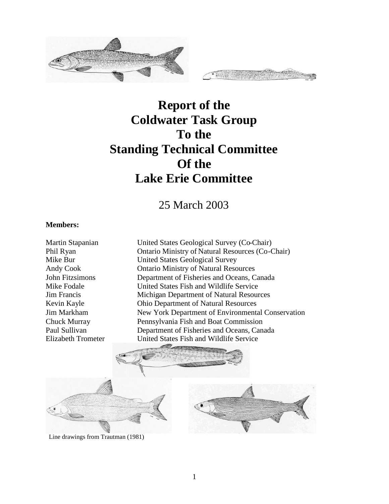

# **Report of the Coldwater Task Group To the Standing Technical Committee Of the Lake Erie Committee**

25 March 2003

#### **Members:**

Martin Stapanian United States Geological Survey (Co-Chair) Phil Ryan **Ontario Ministry of Natural Resources (Co-Chair)**<br>Mike Bur United States Geological Survey United States Geological Survey Andy Cook Ontario Ministry of Natural Resources John Fitzsimons Department of Fisheries and Oceans, Canada Mike Fodale United States Fish and Wildlife Service Jim Francis Michigan Department of Natural Resources Kevin Kayle Ohio Department of Natural Resources Jim Markham New York Department of Environmental Conservation Chuck Murray Pennsylvania Fish and Boat Commission Paul Sullivan Department of Fisheries and Oceans, Canada Elizabeth Trometer United States Fish and Wildlife Service





Line drawings from Trautman (1981)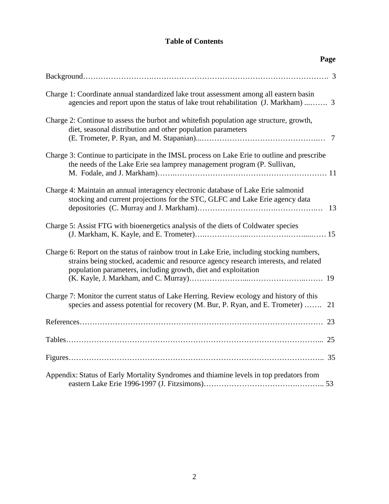# **Table of Contents**

| Page                                                                                                                                                                                                                                               |
|----------------------------------------------------------------------------------------------------------------------------------------------------------------------------------------------------------------------------------------------------|
|                                                                                                                                                                                                                                                    |
| Charge 1: Coordinate annual standardized lake trout assessment among all eastern basin<br>agencies and report upon the status of lake trout rehabilitation (J. Markham)  3                                                                         |
| Charge 2: Continue to assess the burbot and white fish population age structure, growth,<br>diet, seasonal distribution and other population parameters                                                                                            |
| Charge 3: Continue to participate in the IMSL process on Lake Erie to outline and prescribe<br>the needs of the Lake Erie sea lamprey management program (P. Sullivan,                                                                             |
| Charge 4: Maintain an annual interagency electronic database of Lake Erie salmonid<br>stocking and current projections for the STC, GLFC and Lake Erie agency data<br>-13                                                                          |
| Charge 5: Assist FTG with bioenergetics analysis of the diets of Coldwater species                                                                                                                                                                 |
| Charge 6: Report on the status of rainbow trout in Lake Erie, including stocking numbers,<br>strains being stocked, academic and resource agency research interests, and related<br>population parameters, including growth, diet and exploitation |
| Charge 7: Monitor the current status of Lake Herring. Review ecology and history of this<br>species and assess potential for recovery (M. Bur, P. Ryan, and E. Trometer)<br>21                                                                     |
|                                                                                                                                                                                                                                                    |
|                                                                                                                                                                                                                                                    |
|                                                                                                                                                                                                                                                    |
| Appendix: Status of Early Mortality Syndromes and thiamine levels in top predators from                                                                                                                                                            |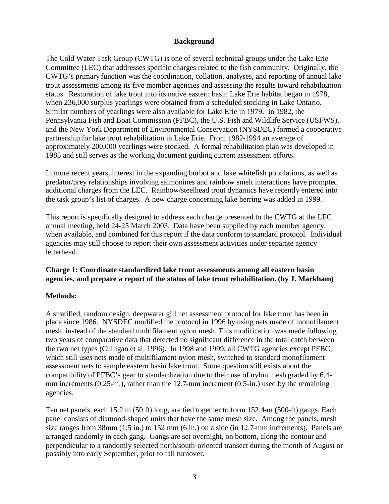#### **Background**

The Cold Water Task Group (CWTG) is one of several technical groups under the Lake Erie Committee (LEC) that addresses specific charges related to the fish community. Originally, the CWTG's primary function was the coordination, collation, analyses, and reporting of annual lake trout assessments among its five member agencies and assessing the results toward rehabilitation status. Restoration of lake trout into its native eastern basin Lake Erie habitat began in 1978, when 236,000 surplus yearlings were obtained from a scheduled stocking in Lake Ontario. Similar numbers of yearlings were also available for Lake Erie in 1979. In 1982, the Pennsylvania Fish and Boat Commission (PFBC), the U.S. Fish and Wildlife Service (USFWS), and the New York Department of Environmental Conservation (NYSDEC) formed a cooperative partnership for lake trout rehabilitation in Lake Erie. From 1982-1994 an average of approximately 200,000 yearlings were stocked. A formal rehabilitation plan was developed in 1985 and still serves as the working document guiding current assessment efforts.

In more recent years, interest in the expanding burbot and lake whitefish populations, as well as predator/prey relationships involving salmonines and rainbow smelt interactions have prompted additional charges from the LEC. Rainbow/steelhead trout dynamics have recently entered into the task group's list of charges. A new charge concerning lake herring was added in 1999.

This report is specifically designed to address each charge presented to the CWTG at the LEC annual meeting, held 24-25 March 2003. Data have been supplied by each member agency, when available, and combined for this report if the data conform to standard protocol. Individual agencies may still choose to report their own assessment activities under separate agency letterhead.

#### **Charge 1: Coordinate standardized lake trout assessments among all eastern basin agencies, and prepare a report of the status of lake trout rehabilitation. (by J. Markham)**

# **Methods:**

A stratified, random design, deepwater gill net assessment protocol for lake trout has been in place since 1986. NYSDEC modified the protocol in 1996 by using nets made of monofilament mesh, instead of the standard multifilament nylon mesh. This modification was made following two years of comparative data that detected no significant difference in the total catch between the two net types (Culligan et al. 1996). In 1998 and 1999, all CWTG agencies except PFBC, which still uses nets made of multifilament nylon mesh, switched to standard monofilament assessment nets to sample eastern basin lake trout. Some question still exists about the compatibility of PFBC's gear to standardization due to their use of nylon mesh graded by 6.4 mm increments (0.25-in.), rather than the 12.7-mm increment (0.5-in.) used by the remaining agencies.

Ten net panels, each 15.2 m (50 ft) long, are tied together to form 152.4-m (500-ft) gangs. Each panel consists of diamond-shaped units that have the same mesh size. Among the panels, mesh size ranges from 38mm (1.5 in.) to 152 mm (6 in.) on a side (in 12.7-mm increments). Panels are arranged randomly in each gang. Gangs are set overnight, on bottom, along the contour and perpendicular to a randomly selected north/south-oriented transect during the month of August or possibly into early September, prior to fall turnover.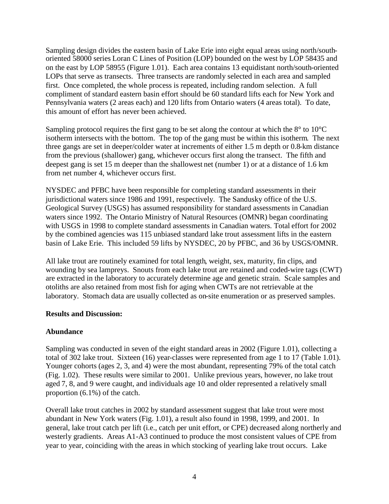Sampling design divides the eastern basin of Lake Erie into eight equal areas using north/southoriented 58000 series Loran C Lines of Position (LOP) bounded on the west by LOP 58435 and on the east by LOP 58955 (Figure 1.01). Each area contains 13 equidistant north/south-oriented LOPs that serve as transects. Three transects are randomly selected in each area and sampled first. Once completed, the whole process is repeated, including random selection. A full compliment of standard eastern basin effort should be 60 standard lifts each for New York and Pennsylvania waters (2 areas each) and 120 lifts from Ontario waters (4 areas total). To date, this amount of effort has never been achieved.

Sampling protocol requires the first gang to be set along the contour at which the 8° to 10°C isotherm intersects with the bottom. The top of the gang must be within this isotherm. The next three gangs are set in deeper/colder water at increments of either 1.5 m depth or 0.8-km distance from the previous (shallower) gang, whichever occurs first along the transect. The fifth and deepest gang is set 15 m deeper than the shallowest net (number 1) or at a distance of 1.6 km from net number 4, whichever occurs first.

NYSDEC and PFBC have been responsible for completing standard assessments in their jurisdictional waters since 1986 and 1991, respectively. The Sandusky office of the U.S. Geological Survey (USGS) has assumed responsibility for standard assessments in Canadian waters since 1992. The Ontario Ministry of Natural Resources (OMNR) began coordinating with USGS in 1998 to complete standard assessments in Canadian waters. Total effort for 2002 by the combined agencies was 115 unbiased standard lake trout assessment lifts in the eastern basin of Lake Erie. This included 59 lifts by NYSDEC, 20 by PFBC, and 36 by USGS/OMNR.

All lake trout are routinely examined for total length, weight, sex, maturity, fin clips, and wounding by sea lampreys. Snouts from each lake trout are retained and coded-wire tags (CWT) are extracted in the laboratory to accurately determine age and genetic strain. Scale samples and otoliths are also retained from most fish for aging when CWTs are not retrievable at the laboratory. Stomach data are usually collected as on-site enumeration or as preserved samples.

#### **Results and Discussion:**

# **Abundance**

Sampling was conducted in seven of the eight standard areas in 2002 (Figure 1.01), collecting a total of 302 lake trout. Sixteen (16) year-classes were represented from age 1 to 17 (Table 1.01). Younger cohorts (ages 2, 3, and 4) were the most abundant, representing 79% of the total catch (Fig. 1.02). These results were similar to 2001. Unlike previous years, however, no lake trout aged 7, 8, and 9 were caught, and individuals age 10 and older represented a relatively small proportion (6.1%) of the catch.

Overall lake trout catches in 2002 by standard assessment suggest that lake trout were most abundant in New York waters (Fig. 1.01), a result also found in 1998, 1999, and 2001. In general, lake trout catch per lift (i.e., catch per unit effort, or CPE) decreased along northerly and westerly gradients. Areas A1-A3 continued to produce the most consistent values of CPE from year to year, coinciding with the areas in which stocking of yearling lake trout occurs. Lake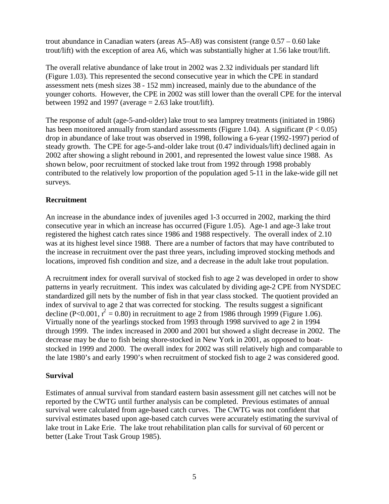trout abundance in Canadian waters (areas A5–A8) was consistent (range 0.57 – 0.60 lake trout/lift) with the exception of area A6, which was substantially higher at 1.56 lake trout/lift.

The overall relative abundance of lake trout in 2002 was 2.32 individuals per standard lift (Figure 1.03). This represented the second consecutive year in which the CPE in standard assessment nets (mesh sizes 38 - 152 mm) increased, mainly due to the abundance of the younger cohorts. However, the CPE in 2002 was still lower than the overall CPE for the interval between 1992 and 1997 (average  $= 2.63$  lake trout/lift).

The response of adult (age-5-and-older) lake trout to sea lamprey treatments (initiated in 1986) has been monitored annually from standard assessments (Figure 1.04). A significant ( $P < 0.05$ ) drop in abundance of lake trout was observed in 1998, following a 6-year (1992-1997) period of steady growth. The CPE for age-5-and-older lake trout (0.47 individuals/lift) declined again in 2002 after showing a slight rebound in 2001, and represented the lowest value since 1988. As shown below, poor recruitment of stocked lake trout from 1992 through 1998 probably contributed to the relatively low proportion of the population aged 5-11 in the lake-wide gill net surveys.

# **Recruitment**

An increase in the abundance index of juveniles aged 1-3 occurred in 2002, marking the third consecutive year in which an increase has occurred (Figure 1.05). Age-1 and age-3 lake trout registered the highest catch rates since 1986 and 1988 respectively. The overall index of 2.10 was at its highest level since 1988. There are a number of factors that may have contributed to the increase in recruitment over the past three years, including improved stocking methods and locations, improved fish condition and size, and a decrease in the adult lake trout population.

A recruitment index for overall survival of stocked fish to age 2 was developed in order to show patterns in yearly recruitment. This index was calculated by dividing age-2 CPE from NYSDEC standardized gill nets by the number of fish in that year class stocked. The quotient provided an index of survival to age 2 that was corrected for stocking. The results suggest a significant decline (P<0.001,  $r^2 = 0.80$ ) in recruitment to age 2 from 1986 through 1999 (Figure 1.06). Virtually none of the yearlings stocked from 1993 through 1998 survived to age 2 in 1994 through 1999. The index increased in 2000 and 2001 but showed a slight decrease in 2002. The decrease may be due to fish being shore-stocked in New York in 2001, as opposed to boatstocked in 1999 and 2000. The overall index for 2002 was still relatively high and comparable to the late 1980's and early 1990's when recruitment of stocked fish to age 2 was considered good.

#### **Survival**

Estimates of annual survival from standard eastern basin assessment gill net catches will not be reported by the CWTG until further analysis can be completed. Previous estimates of annual survival were calculated from age-based catch curves. The CWTG was not confident that survival estimates based upon age-based catch curves were accurately estimating the survival of lake trout in Lake Erie. The lake trout rehabilitation plan calls for survival of 60 percent or better (Lake Trout Task Group 1985).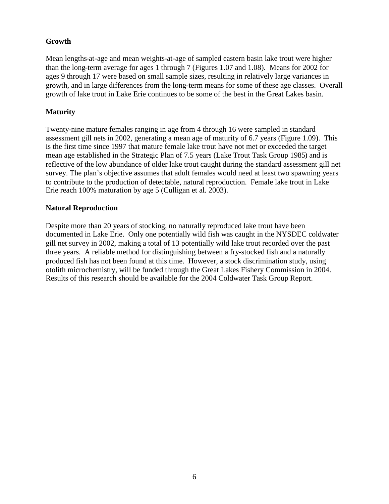# **Growth**

Mean lengths-at-age and mean weights-at-age of sampled eastern basin lake trout were higher than the long-term average for ages 1 through 7 (Figures 1.07 and 1.08). Means for 2002 for ages 9 through 17 were based on small sample sizes, resulting in relatively large variances in growth, and in large differences from the long-term means for some of these age classes. Overall growth of lake trout in Lake Erie continues to be some of the best in the Great Lakes basin.

# **Maturity**

Twenty-nine mature females ranging in age from 4 through 16 were sampled in standard assessment gill nets in 2002, generating a mean age of maturity of 6.7 years (Figure 1.09). This is the first time since 1997 that mature female lake trout have not met or exceeded the target mean age established in the Strategic Plan of 7.5 years (Lake Trout Task Group 1985) and is reflective of the low abundance of older lake trout caught during the standard assessment gill net survey. The plan's objective assumes that adult females would need at least two spawning years to contribute to the production of detectable, natural reproduction. Female lake trout in Lake Erie reach 100% maturation by age 5 (Culligan et al. 2003).

# **Natural Reproduction**

Despite more than 20 years of stocking, no naturally reproduced lake trout have been documented in Lake Erie. Only one potentially wild fish was caught in the NYSDEC coldwater gill net survey in 2002, making a total of 13 potentially wild lake trout recorded over the past three years. A reliable method for distinguishing between a fry-stocked fish and a naturally produced fish has not been found at this time. However, a stock discrimination study, using otolith microchemistry, will be funded through the Great Lakes Fishery Commission in 2004. Results of this research should be available for the 2004 Coldwater Task Group Report.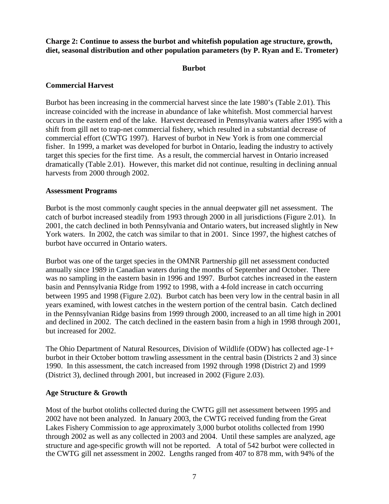**Charge 2: Continue to assess the burbot and whitefish population age structure, growth, diet, seasonal distribution and other population parameters (by P. Ryan and E. Trometer)**

#### **Burbot**

#### **Commercial Harvest**

Burbot has been increasing in the commercial harvest since the late 1980's (Table 2.01). This increase coincided with the increase in abundance of lake whitefish. Most commercial harvest occurs in the eastern end of the lake. Harvest decreased in Pennsylvania waters after 1995 with a shift from gill net to trap-net commercial fishery, which resulted in a substantial decrease of commercial effort (CWTG 1997). Harvest of burbot in New York is from one commercial fisher. In 1999, a market was developed for burbot in Ontario, leading the industry to actively target this species for the first time. As a result, the commercial harvest in Ontario increased dramatically (Table 2.01). However, this market did not continue, resulting in declining annual harvests from 2000 through 2002.

#### **Assessment Programs**

Burbot is the most commonly caught species in the annual deepwater gill net assessment. The catch of burbot increased steadily from 1993 through 2000 in all jurisdictions (Figure 2.01). In 2001, the catch declined in both Pennsylvania and Ontario waters, but increased slightly in New York waters. In 2002, the catch was similar to that in 2001. Since 1997, the highest catches of burbot have occurred in Ontario waters.

Burbot was one of the target species in the OMNR Partnership gill net assessment conducted annually since 1989 in Canadian waters during the months of September and October. There was no sampling in the eastern basin in 1996 and 1997. Burbot catches increased in the eastern basin and Pennsylvania Ridge from 1992 to 1998, with a 4-fold increase in catch occurring between 1995 and 1998 (Figure 2.02). Burbot catch has been very low in the central basin in all years examined, with lowest catches in the western portion of the central basin. Catch declined in the Pennsylvanian Ridge basins from 1999 through 2000, increased to an all time high in 2001 and declined in 2002. The catch declined in the eastern basin from a high in 1998 through 2001, but increased for 2002.

The Ohio Department of Natural Resources, Division of Wildlife (ODW) has collected age-1+ burbot in their October bottom trawling assessment in the central basin (Districts 2 and 3) since 1990. In this assessment, the catch increased from 1992 through 1998 (District 2) and 1999 (District 3), declined through 2001, but increased in 2002 (Figure 2.03).

# **Age Structure & Growth**

Most of the burbot otoliths collected during the CWTG gill net assessment between 1995 and 2002 have not been analyzed. In January 2003, the CWTG received funding from the Great Lakes Fishery Commission to age approximately 3,000 burbot otoliths collected from 1990 through 2002 as well as any collected in 2003 and 2004. Until these samples are analyzed, age structure and age-specific growth will not be reported. A total of 542 burbot were collected in the CWTG gill net assessment in 2002. Lengths ranged from 407 to 878 mm, with 94% of the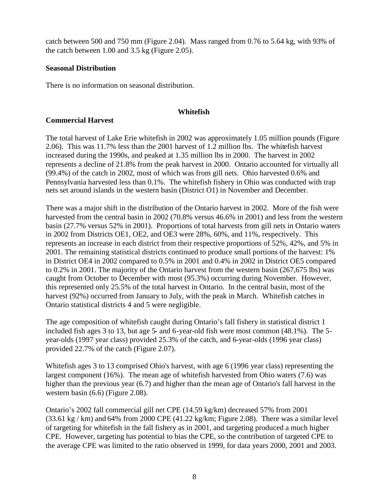catch between 500 and 750 mm (Figure 2.04). Mass ranged from 0.76 to 5.64 kg, with 93% of the catch between 1.00 and 3.5 kg (Figure 2.05).

#### **Seasonal Distribution**

There is no information on seasonal distribution.

#### **Whitefish**

#### **Commercial Harvest**

The total harvest of Lake Erie whitefish in 2002 was approximately 1.05 million pounds (Figure 2.06). This was 11.7% less than the 2001 harvest of 1.2 million lbs. The whitefish harvest increased during the 1990s, and peaked at 1.35 million lbs in 2000. The harvest in 2002 represents a decline of 21.8% from the peak harvest in 2000. Ontario accounted for virtually all (99.4%) of the catch in 2002, most of which was from gill nets. Ohio harvested 0.6% and Pennsylvania harvested less than 0.1%. The whitefish fishery in Ohio was conducted with trap nets set around islands in the western basin (District O1) in November and December.

There was a major shift in the distribution of the Ontario harvest in 2002. More of the fish were harvested from the central basin in 2002 (70.8% versus 46.6% in 2001) and less from the western basin (27.7% versus 52% in 2001). Proportions of total harvests from gill nets in Ontario waters in 2002 from Districts OE1, OE2, and OE3 were 28%, 60%, and 11%, respectively. This represents an increase in each district from their respective proportions of 52%, 42%, and 5% in 2001. The remaining statistical districts continued to produce small portions of the harvest: 1% in District OE4 in 2002 compared to 0.5% in 2001 and 0.4% in 2002 in District OE5 compared to 0.2% in 2001. The majority of the Ontario harvest from the western basin (267,675 lbs) was caught from October to December with most (95.3%) occurring during November. However, this represented only 25.5% of the total harvest in Ontario. In the central basin, most of the harvest (92%) occurred from January to July, with the peak in March. Whitefish catches in Ontario statistical districts 4 and 5 were negligible.

The age composition of whitefish caught during Ontario's fall fishery in statistical district 1 included fish ages 3 to 13, but age 5- and 6-year-old fish were most common (48.1%). The 5 year-olds (1997 year class) provided 25.3% of the catch, and 6-year-olds (1996 year class) provided 22.7% of the catch (Figure 2.07).

Whitefish ages 3 to 13 comprised Ohio's harvest, with age 6 (1996 year class) representing the largest component (16%). The mean age of whitefish harvested from Ohio waters (7.6) was higher than the previous year (6.7) and higher than the mean age of Ontario's fall harvest in the western basin (6.6) (Figure 2.08).

Ontario's 2002 fall commercial gill net CPE (14.59 kg/km) decreased 57% from 2001  $(33.61 \text{ kg} / \text{km})$  and 64% from 2000 CPE  $(41.22 \text{ kg/km})$ ; Figure 2.08). There was a similar level of targeting for whitefish in the fall fishery as in 2001, and targeting produced a much higher CPE. However, targeting has potential to bias the CPE, so the contribution of targeted CPE to the average CPE was limited to the ratio observed in 1999, for data years 2000, 2001 and 2003.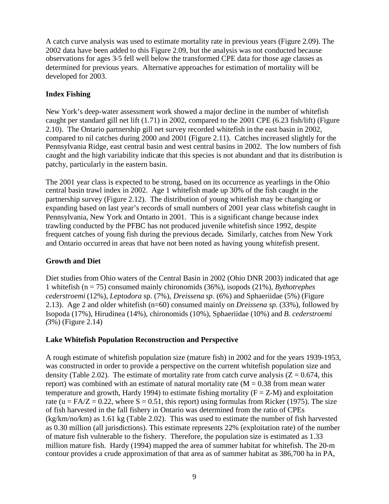A catch curve analysis was used to estimate mortality rate in previous years (Figure 2.09). The 2002 data have been added to this Figure 2.09, but the analysis was not conducted because observations for ages 3-5 fell well below the transformed CPE data for those age classes as determined for previous years. Alternative approaches for estimation of mortality will be developed for 2003.

# **Index Fishing**

New York's deep-water assessment work showed a major decline in the number of whitefish caught per standard gill net lift  $(1.71)$  in 2002, compared to the 2001 CPE  $(6.23 \text{ fish/lift})$  (Figure 2.10). The Ontario partnership gill net survey recorded whitefish in the east basin in 2002, compared to nil catches during 2000 and 2001 (Figure 2.11). Catches increased slightly for the Pennsylvania Ridge, east central basin and west central basins in 2002. The low numbers of fish caught and the high variability indicate that this species is not abundant and that its distribution is patchy, particularly in the eastern basin.

The 2001 year class is expected to be strong, based on its occurrence as yearlings in the Ohio central basin trawl index in 2002. Age 1 whitefish made up 30% of the fish caught in the partnership survey (Figure 2.12). The distribution of young whitefish may be changing or expanding based on last year's records of small numbers of 2001 year class whitefish caught in Pennsylvania, New York and Ontario in 2001. This is a significant change because index trawling conducted by the PFBC has not produced juvenile whitefish since 1992, despite frequent catches of young fish during the previous decade**.** Similarly, catches from New York and Ontario occurred in areas that have not been noted as having young whitefish present.

# **Growth and Diet**

Diet studies from Ohio waters of the Central Basin in 2002 (Ohio DNR 2003) indicated that age 1 whitefish (n = 75) consumed mainly chironomids (36%), isopods (21%), *Bythotrephes cederstroemi* (12%), *Leptodora* sp. (7%), *Dreissena sp.* (6%) and Sphaeriidae (5%) (Figure 2.13). Age 2 and older whitefish (n=60) consumed mainly on *Dreissena sp.* (33%), followed by Isopoda (17%), Hirudinea (14%), chironomids (10%), Sphaeriidae (10%) and *B. cederstroemi (*3%) (Figure 2.14)

# **Lake Whitefish Population Reconstruction and Perspective**

A rough estimate of whitefish population size (mature fish) in 2002 and for the years 1939-1953, was constructed in order to provide a perspective on the current whitefish population size and density (Table 2.02). The estimate of mortality rate from catch curve analysis ( $Z = 0.674$ , this report) was combined with an estimate of natural mortality rate  $(M = 0.38$  from mean water temperature and growth, Hardy 1994) to estimate fishing mortality  $(F = Z-M)$  and exploitation rate (u =  $FA/Z = 0.22$ , where S = 0.51, this report) using formulas from Ricker (1975). The size of fish harvested in the fall fishery in Ontario was determined from the ratio of CPEs (kg/km/no/km) as 1.61 kg (Table 2.02). This was used to estimate the number of fish harvested as 0.30 million (all jurisdictions). This estimate represents 22% (exploitation rate) of the number of mature fish vulnerable to the fishery. Therefore, the population size is estimated as 1.33 million mature fish. Hardy (1994) mapped the area of summer habitat for whitefish. The 20-m contour provides a crude approximation of that area as of summer habitat as 386,700 ha in PA,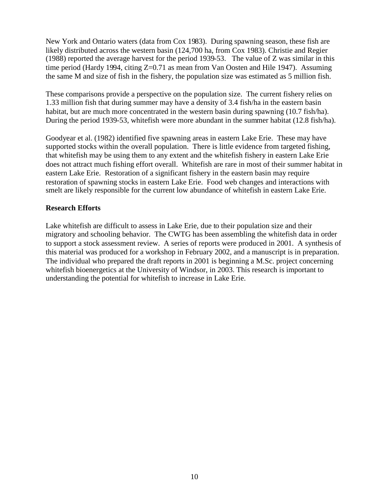New York and Ontario waters (data from Cox 1983). During spawning season, these fish are likely distributed across the western basin (124,700 ha, from Cox 1983). Christie and Regier (1988) reported the average harvest for the period 1939-53. The value of Z was similar in this time period (Hardy 1994, citing Z=0.71 as mean from Van Oosten and Hile 1947). Assuming the same M and size of fish in the fishery, the population size was estimated as 5 million fish.

These comparisons provide a perspective on the population size. The current fishery relies on 1.33 million fish that during summer may have a density of 3.4 fish/ha in the eastern basin habitat, but are much more concentrated in the western basin during spawning (10.7 fish/ha). During the period 1939-53, whitefish were more abundant in the summer habitat (12.8 fish/ha).

Goodyear et al. (1982) identified five spawning areas in eastern Lake Erie. These may have supported stocks within the overall population. There is little evidence from targeted fishing, that whitefish may be using them to any extent and the whitefish fishery in eastern Lake Erie does not attract much fishing effort overall. Whitefish are rare in most of their summer habitat in eastern Lake Erie. Restoration of a significant fishery in the eastern basin may require restoration of spawning stocks in eastern Lake Erie. Food web changes and interactions with smelt are likely responsible for the current low abundance of whitefish in eastern Lake Erie.

#### **Research Efforts**

Lake whitefish are difficult to assess in Lake Erie, due to their population size and their migratory and schooling behavior. The CWTG has been assembling the whitefish data in order to support a stock assessment review. A series of reports were produced in 2001. A synthesis of this material was produced for a workshop in February 2002, and a manuscript is in preparation. The individual who prepared the draft reports in 2001 is beginning a M.Sc. project concerning whitefish bioenergetics at the University of Windsor, in 2003. This research is important to understanding the potential for whitefish to increase in Lake Erie.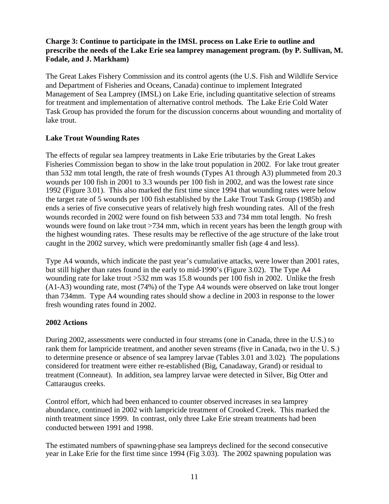# **Charge 3: Continue to participate in the IMSL process on Lake Erie to outline and prescribe the needs of the Lake Erie sea lamprey management program. (by P. Sullivan, M. Fodale, and J. Markham)**

The Great Lakes Fishery Commission and its control agents (the U.S. Fish and Wildlife Service and Department of Fisheries and Oceans, Canada) continue to implement Integrated Management of Sea Lamprey (IMSL) on Lake Erie, including quantitative selection of streams for treatment and implementation of alternative control methods. The Lake Erie Cold Water Task Group has provided the forum for the discussion concerns about wounding and mortality of lake trout.

# **Lake Trout Wounding Rates**

The effects of regular sea lamprey treatments in Lake Erie tributaries by the Great Lakes Fisheries Commission began to show in the lake trout population in 2002. For lake trout greater than 532 mm total length, the rate of fresh wounds (Types A1 through A3) plummeted from 20.3 wounds per 100 fish in 2001 to 3.3 wounds per 100 fish in 2002, and was the lowest rate since 1992 (Figure 3.01). This also marked the first time since 1994 that wounding rates were below the target rate of 5 wounds per 100 fish established by the Lake Trout Task Group (1985b) and ends a series of five consecutive years of relatively high fresh wounding rates. All of the fresh wounds recorded in 2002 were found on fish between 533 and 734 mm total length. No fresh wounds were found on lake trout >734 mm, which in recent years has been the length group with the highest wounding rates. These results may be reflective of the age structure of the lake trout caught in the 2002 survey, which were predominantly smaller fish (age 4 and less).

Type A4 wounds, which indicate the past year's cumulative attacks, were lower than 2001 rates, but still higher than rates found in the early to mid-1990's (Figure 3.02). The Type A4 wounding rate for lake trout >532 mm was 15.8 wounds per 100 fish in 2002. Unlike the fresh (A1-A3) wounding rate, most (74%) of the Type A4 wounds were observed on lake trout longer than 734mm. Type A4 wounding rates should show a decline in 2003 in response to the lower fresh wounding rates found in 2002.

# **2002 Actions**

During 2002, assessments were conducted in four streams (one in Canada, three in the U.S.) to rank them for lampricide treatment, and another seven streams (five in Canada, two in the U. S.) to determine presence or absence of sea lamprey larvae (Tables 3.01 and 3.02). The populations considered for treatment were either re-established (Big, Canadaway, Grand) or residual to treatment (Conneaut). In addition, sea lamprey larvae were detected in Silver, Big Otter and Cattaraugus creeks.

Control effort, which had been enhanced to counter observed increases in sea lamprey abundance, continued in 2002 with lampricide treatment of Crooked Creek. This marked the ninth treatment since 1999. In contrast, only three Lake Erie stream treatments had been conducted between 1991 and 1998.

The estimated numbers of spawning-phase sea lampreys declined for the second consecutive year in Lake Erie for the first time since 1994 (Fig 3.03). The 2002 spawning population was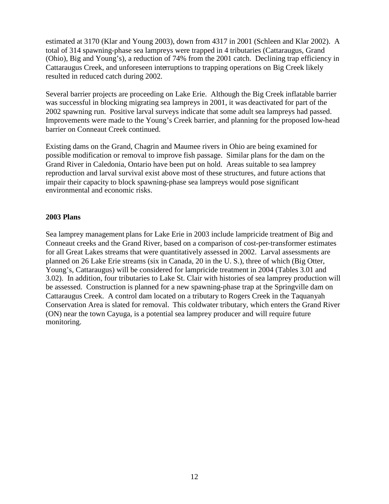estimated at 3170 (Klar and Young 2003), down from 4317 in 2001 (Schleen and Klar 2002). A total of 314 spawning-phase sea lampreys were trapped in 4 tributaries (Cattaraugus, Grand (Ohio), Big and Young's), a reduction of 74% from the 2001 catch. Declining trap efficiency in Cattaraugus Creek, and unforeseen interruptions to trapping operations on Big Creek likely resulted in reduced catch during 2002.

Several barrier projects are proceeding on Lake Erie. Although the Big Creek inflatable barrier was successful in blocking migrating sea lampreys in 2001, it was deactivated for part of the 2002 spawning run. Positive larval surveys indicate that some adult sea lampreys had passed. Improvements were made to the Young's Creek barrier, and planning for the proposed low-head barrier on Conneaut Creek continued.

Existing dams on the Grand, Chagrin and Maumee rivers in Ohio are being examined for possible modification or removal to improve fish passage. Similar plans for the dam on the Grand River in Caledonia, Ontario have been put on hold. Areas suitable to sea lamprey reproduction and larval survival exist above most of these structures, and future actions that impair their capacity to block spawning-phase sea lampreys would pose significant environmental and economic risks.

#### **2003 Plans**

Sea lamprey management plans for Lake Erie in 2003 include lampricide treatment of Big and Conneaut creeks and the Grand River, based on a comparison of cost-per-transformer estimates for all Great Lakes streams that were quantitatively assessed in 2002. Larval assessments are planned on 26 Lake Erie streams (six in Canada, 20 in the U. S.), three of which (Big Otter, Young's, Cattaraugus) will be considered for lampricide treatment in 2004 (Tables 3.01 and 3.02). In addition, four tributaries to Lake St. Clair with histories of sea lamprey production will be assessed. Construction is planned for a new spawning-phase trap at the Springville dam on Cattaraugus Creek. A control dam located on a tributary to Rogers Creek in the Taquanyah Conservation Area is slated for removal. This coldwater tributary, which enters the Grand River (ON) near the town Cayuga, is a potential sea lamprey producer and will require future monitoring.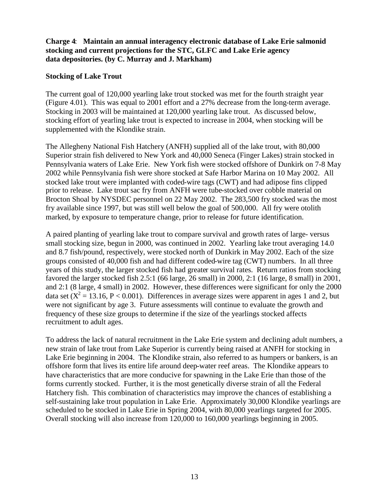#### **Charge 4**: **Maintain an annual interagency electronic database of Lake Erie salmonid stocking and current projections for the STC, GLFC and Lake Erie agency data depositories. (by C. Murray and J. Markham)**

#### **Stocking of Lake Trout**

The current goal of 120,000 yearling lake trout stocked was met for the fourth straight year (Figure 4.01). This was equal to 2001 effort and a 27% decrease from the long-term average. Stocking in 2003 will be maintained at 120,000 yearling lake trout. As discussed below, stocking effort of yearling lake trout is expected to increase in 2004, when stocking will be supplemented with the Klondike strain.

The Allegheny National Fish Hatchery (ANFH) supplied all of the lake trout, with 80,000 Superior strain fish delivered to New York and 40,000 Seneca (Finger Lakes) strain stocked in Pennsylvania waters of Lake Erie. New York fish were stocked offshore of Dunkirk on 7-8 May 2002 while Pennsylvania fish were shore stocked at Safe Harbor Marina on 10 May 2002. All stocked lake trout were implanted with coded-wire tags (CWT) and had adipose fins clipped prior to release. Lake trout sac fry from ANFH were tube-stocked over cobble material on Brocton Shoal by NYSDEC personnel on 22 May 2002. The 283,500 fry stocked was the most fry available since 1997, but was still well below the goal of 500,000. All fry were otolith marked, by exposure to temperature change, prior to release for future identification.

A paired planting of yearling lake trout to compare survival and growth rates of large- versus small stocking size, begun in 2000, was continued in 2002. Yearling lake trout averaging 14.0 and 8.7 fish/pound, respectively, were stocked north of Dunkirk in May 2002. Each of the size groups consisted of 40,000 fish and had different coded-wire tag (CWT) numbers. In all three years of this study, the larger stocked fish had greater survival rates. Return ratios from stocking favored the larger stocked fish 2.5:1 (66 large, 26 small) in 2000, 2:1 (16 large, 8 small) in 2001, and 2:1 (8 large, 4 small) in 2002. However, these differences were significant for only the 2000 data set  $(X^2 = 13.16, P < 0.001)$ . Differences in average sizes were apparent in ages 1 and 2, but were not significant by age 3. Future assessments will continue to evaluate the growth and frequency of these size groups to determine if the size of the yearlings stocked affects recruitment to adult ages.

To address the lack of natural recruitment in the Lake Erie system and declining adult numbers, a new strain of lake trout from Lake Superior is currently being raised at ANFH for stocking in Lake Erie beginning in 2004. The Klondike strain, also referred to as humpers or bankers, is an offshore form that lives its entire life around deep-water reef areas. The Klondike appears to have characteristics that are more conducive for spawning in the Lake Erie than those of the forms currently stocked. Further, it is the most genetically diverse strain of all the Federal Hatchery fish. This combination of characteristics may improve the chances of establishing a self-sustaining lake trout population in Lake Erie. Approximately 30,000 Klondike yearlings are scheduled to be stocked in Lake Erie in Spring 2004, with 80,000 yearlings targeted for 2005. Overall stocking will also increase from 120,000 to 160,000 yearlings beginning in 2005.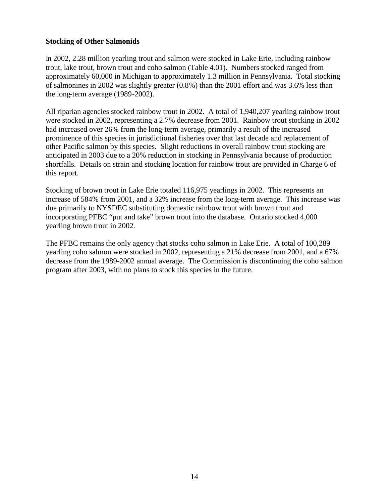#### **Stocking of Other Salmonids**

In 2002, 2.28 million yearling trout and salmon were stocked in Lake Erie, including rainbow trout, lake trout, brown trout and coho salmon (Table 4.01). Numbers stocked ranged from approximately 60,000 in Michigan to approximately 1.3 million in Pennsylvania. Total stocking of salmonines in 2002 was slightly greater (0.8%) than the 2001 effort and was 3.6% less than the long-term average (1989-2002).

All riparian agencies stocked rainbow trout in 2002. A total of 1,940,207 yearling rainbow trout were stocked in 2002, representing a 2.7% decrease from 2001. Rainbow trout stocking in 2002 had increased over 26% from the long-term average, primarily a result of the increased prominence of this species in jurisdictional fisheries over that last decade and replacement of other Pacific salmon by this species. Slight reductions in overall rainbow trout stocking are anticipated in 2003 due to a 20% reduction in stocking in Pennsylvania because of production shortfalls. Details on strain and stocking location for rainbow trout are provided in Charge 6 of this report.

Stocking of brown trout in Lake Erie totaled 116,975 yearlings in 2002. This represents an increase of 584% from 2001, and a 32% increase from the long-term average. This increase was due primarily to NYSDEC substituting domestic rainbow trout with brown trout and incorporating PFBC "put and take" brown trout into the database. Ontario stocked 4,000 yearling brown trout in 2002.

The PFBC remains the only agency that stocks coho salmon in Lake Erie. A total of 100,289 yearling coho salmon were stocked in 2002, representing a 21% decrease from 2001, and a 67% decrease from the 1989-2002 annual average. The Commission is discontinuing the coho salmon program after 2003, with no plans to stock this species in the future.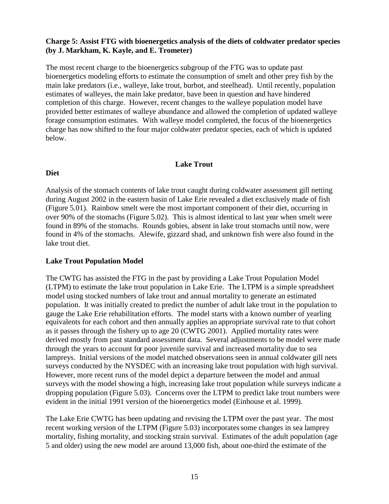#### **Charge 5: Assist FTG with bioenergetics analysis of the diets of coldwater predator species (by J. Markham, K. Kayle, and E. Trometer)**

The most recent charge to the bioenergetics subgroup of the FTG was to update past bioenergetics modeling efforts to estimate the consumption of smelt and other prey fish by the main lake predators (i.e., walleye, lake trout, burbot, and steelhead). Until recently, population estimates of walleyes, the main lake predator, have been in question and have hindered completion of this charge. However, recent changes to the walleye population model have provided better estimates of walleye abundance and allowed the completion of updated walleye forage consumption estimates. With walleye model completed, the focus of the bioenergetics charge has now shifted to the four major coldwater predator species, each of which is updated below.

#### **Lake Trout**

#### **Diet**

Analysis of the stomach contents of lake trout caught during coldwater assessment gill netting during August 2002 in the eastern basin of Lake Erie revealed a diet exclusively made of fish (Figure 5.01). Rainbow smelt were the most important component of their diet, occurring in over 90% of the stomachs (Figure 5.02). This is almost identical to last year when smelt were found in 89% of the stomachs. Rounds gobies, absent in lake trout stomachs until now, were found in 4% of the stomachs. Alewife, gizzard shad, and unknown fish were also found in the lake trout diet.

# **Lake Trout Population Model**

The CWTG has assisted the FTG in the past by providing a Lake Trout Population Model (LTPM) to estimate the lake trout population in Lake Erie. The LTPM is a simple spreadsheet model using stocked numbers of lake trout and annual mortality to generate an estimated population. It was initially created to predict the number of adult lake trout in the population to gauge the Lake Erie rehabilitation efforts. The model starts with a known number of yearling equivalents for each cohort and then annually applies an appropriate survival rate to that cohort as it passes through the fishery up to age 20 (CWTG 2001). Applied mortality rates were derived mostly from past standard assessment data. Several adjustments to be model were made through the years to account for poor juvenile survival and increased mortality due to sea lampreys. Initial versions of the model matched observations seen in annual coldwater gill nets surveys conducted by the NYSDEC with an increasing lake trout population with high survival. However, more recent runs of the model depict a departure between the model and annual surveys with the model showing a high, increasing lake trout population while surveys indicate a dropping population (Figure 5.03). Concerns over the LTPM to predict lake trout numbers were evident in the initial 1991 version of the bioenergetics model (Einhouse et al. 1999).

The Lake Erie CWTG has been updating and revising the LTPM over the past year. The most recent working version of the LTPM (Figure 5.03) incorporates some changes in sea lamprey mortality, fishing mortality, and stocking strain survival. Estimates of the adult population (age 5 and older) using the new model are around 13,000 fish, about one-third the estimate of the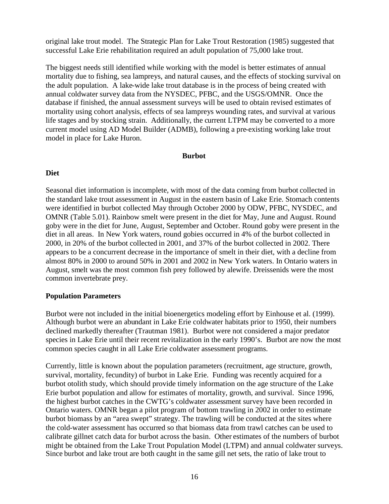original lake trout model. The Strategic Plan for Lake Trout Restoration (1985) suggested that successful Lake Erie rehabilitation required an adult population of 75,000 lake trout.

The biggest needs still identified while working with the model is better estimates of annual mortality due to fishing, sea lampreys, and natural causes, and the effects of stocking survival on the adult population. A lake-wide lake trout database is in the process of being created with annual coldwater survey data from the NYSDEC, PFBC, and the USGS/OMNR. Once the database if finished, the annual assessment surveys will be used to obtain revised estimates of mortality using cohort analysis, effects of sea lampreys wounding rates, and survival at various life stages and by stocking strain. Additionally, the current LTPM may be converted to a more current model using AD Model Builder (ADMB), following a pre-existing working lake trout model in place for Lake Huron.

#### **Burbot**

#### **Diet**

Seasonal diet information is incomplete, with most of the data coming from burbot collected in the standard lake trout assessment in August in the eastern basin of Lake Erie. Stomach contents were identified in burbot collected May through October 2000 by ODW, PFBC, NYSDEC, and OMNR (Table 5.01). Rainbow smelt were present in the diet for May, June and August. Round goby were in the diet for June, August, September and October. Round goby were present in the diet in all areas. In New York waters, round gobies occurred in 4% of the burbot collected in 2000, in 20% of the burbot collected in 2001, and 37% of the burbot collected in 2002. There appears to be a concurrent decrease in the importance of smelt in their diet, with a decline from almost 80% in 2000 to around 50% in 2001 and 2002 in New York waters. In Ontario waters in August, smelt was the most common fish prey followed by alewife. Dreissenids were the most common invertebrate prey.

#### **Population Parameters**

Burbot were not included in the initial bioenergetics modeling effort by Einhouse et al. (1999). Although burbot were an abundant in Lake Erie coldwater habitats prior to 1950, their numbers declined markedly thereafter (Trautman 1981). Burbot were not considered a major predator species in Lake Erie until their recent revitalization in the early 1990's. Burbot are now the most common species caught in all Lake Erie coldwater assessment programs.

Currently, little is known about the population parameters (recruitment, age structure, growth, survival, mortality, fecundity) of burbot in Lake Erie. Funding was recently acquired for a burbot otolith study, which should provide timely information on the age structure of the Lake Erie burbot population and allow for estimates of mortality, growth, and survival. Since 1996, the highest burbot catches in the CWTG's coldwater assessment survey have been recorded in Ontario waters. OMNR began a pilot program of bottom trawling in 2002 in order to estimate burbot biomass by an "area swept" strategy. The trawling will be conducted at the sites where the cold-water assessment has occurred so that biomass data from trawl catches can be used to calibrate gillnet catch data for burbot across the basin. Other estimates of the numbers of burbot might be obtained from the Lake Trout Population Model (LTPM) and annual coldwater surveys. Since burbot and lake trout are both caught in the same gill net sets, the ratio of lake trout to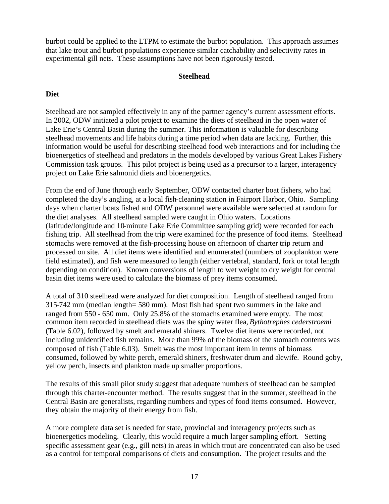burbot could be applied to the LTPM to estimate the burbot population. This approach assumes that lake trout and burbot populations experience similar catchability and selectivity rates in experimental gill nets. These assumptions have not been rigorously tested.

#### **Steelhead**

# **Diet**

Steelhead are not sampled effectively in any of the partner agency's current assessment efforts. In 2002, ODW initiated a pilot project to examine the diets of steelhead in the open water of Lake Erie's Central Basin during the summer. This information is valuable for describing steelhead movements and life habits during a time period when data are lacking. Further, this information would be useful for describing steelhead food web interactions and for including the bioenergetics of steelhead and predators in the models developed by various Great Lakes Fishery Commission task groups. This pilot project is being used as a precursor to a larger, interagency project on Lake Erie salmonid diets and bioenergetics.

From the end of June through early September, ODW contacted charter boat fishers, who had completed the day's angling, at a local fish-cleaning station in Fairport Harbor, Ohio. Sampling days when charter boats fished and ODW personnel were available were selected at random for the diet analyses. All steelhead sampled were caught in Ohio waters. Locations (latitude/longitude and 10-minute Lake Erie Committee sampling grid) were recorded for each fishing trip. All steelhead from the trip were examined for the presence of food items. Steelhead stomachs were removed at the fish-processing house on afternoon of charter trip return and processed on site. All diet items were identified and enumerated (numbers of zooplankton were field estimated), and fish were measured to length (either vertebral, standard, fork or total length depending on condition). Known conversions of length to wet weight to dry weight for central basin diet items were used to calculate the biomass of prey items consumed.

A total of 310 steelhead were analyzed for diet composition. Length of steelhead ranged from 315-742 mm (median length= 580 mm). Most fish had spent two summers in the lake and ranged from 550 - 650 mm. Only 25.8% of the stomachs examined were empty. The most common item recorded in steelhead diets was the spiny water flea, *Bythotrephes cederstroemi* (Table 6.02), followed by smelt and emerald shiners. Twelve diet items were recorded, not including unidentified fish remains. More than 99% of the biomass of the stomach contents was composed of fish (Table 6.03). Smelt was the most important item in terms of biomass consumed, followed by white perch, emerald shiners, freshwater drum and alewife. Round goby, yellow perch, insects and plankton made up smaller proportions.

The results of this small pilot study suggest that adequate numbers of steelhead can be sampled through this charter-encounter method. The results suggest that in the summer, steelhead in the Central Basin are generalists, regarding numbers and types of food items consumed. However, they obtain the majority of their energy from fish.

A more complete data set is needed for state, provincial and interagency projects such as bioenergetics modeling. Clearly, this would require a much larger sampling effort. Setting specific assessment gear (e.g., gill nets) in areas in which trout are concentrated can also be used as a control for temporal comparisons of diets and consumption. The project results and the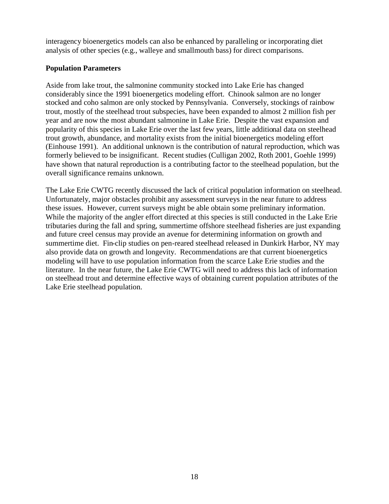interagency bioenergetics models can also be enhanced by paralleling or incorporating diet analysis of other species (e.g., walleye and smallmouth bass) for direct comparisons.

# **Population Parameters**

Aside from lake trout, the salmonine community stocked into Lake Erie has changed considerably since the 1991 bioenergetics modeling effort. Chinook salmon are no longer stocked and coho salmon are only stocked by Pennsylvania. Conversely, stockings of rainbow trout, mostly of the steelhead trout subspecies, have been expanded to almost 2 million fish per year and are now the most abundant salmonine in Lake Erie. Despite the vast expansion and popularity of this species in Lake Erie over the last few years, little additional data on steelhead trout growth, abundance, and mortality exists from the initial bioenergetics modeling effort (Einhouse 1991). An additional unknown is the contribution of natural reproduction, which was formerly believed to be insignificant. Recent studies (Culligan 2002, Roth 2001, Goehle 1999) have shown that natural reproduction is a contributing factor to the steelhead population, but the overall significance remains unknown.

The Lake Erie CWTG recently discussed the lack of critical population information on steelhead. Unfortunately, major obstacles prohibit any assessment surveys in the near future to address these issues. However, current surveys might be able obtain some preliminary information. While the majority of the angler effort directed at this species is still conducted in the Lake Erie tributaries during the fall and spring, summertime offshore steelhead fisheries are just expanding and future creel census may provide an avenue for determining information on growth and summertime diet. Fin-clip studies on pen-reared steelhead released in Dunkirk Harbor, NY may also provide data on growth and longevity. Recommendations are that current bioenergetics modeling will have to use population information from the scarce Lake Erie studies and the literature. In the near future, the Lake Erie CWTG will need to address this lack of information on steelhead trout and determine effective ways of obtaining current population attributes of the Lake Erie steelhead population.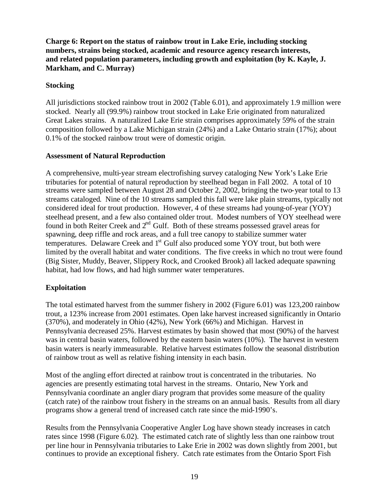**Charge 6: Report on the status of rainbow trout in Lake Erie, including stocking numbers, strains being stocked, academic and resource agency research interests, and related population parameters, including growth and exploitation (by K. Kayle, J. Markham, and C. Murray)**

# **Stocking**

All jurisdictions stocked rainbow trout in 2002 (Table 6.01), and approximately 1.9 million were stocked. Nearly all (99.9%) rainbow trout stocked in Lake Erie originated from naturalized Great Lakes strains. A naturalized Lake Erie strain comprises approximately 59% of the strain composition followed by a Lake Michigan strain (24%) and a Lake Ontario strain (17%); about 0.1% of the stocked rainbow trout were of domestic origin.

#### **Assessment of Natural Reproduction**

A comprehensive, multi-year stream electrofishing survey cataloging New York's Lake Erie tributaries for potential of natural reproduction by steelhead began in Fall 2002. A total of 10 streams were sampled between August 28 and October 2, 2002, bringing the two-year total to 13 streams cataloged. Nine of the 10 streams sampled this fall were lake plain streams, typically not considered ideal for trout production. However, 4 of these streams had young-of-year (YOY) steelhead present, and a few also contained older trout. Modest numbers of YOY steelhead were found in both Reiter Creek and  $2<sup>nd</sup>$  Gulf. Both of these streams possessed gravel areas for spawning, deep riffle and rock areas, and a full tree canopy to stabilize summer water temperatures. Delaware Creek and 1<sup>st</sup> Gulf also produced some YOY trout, but both were limited by the overall habitat and water conditions. The five creeks in which no trout were found (Big Sister, Muddy, Beaver, Slippery Rock, and Crooked Brook) all lacked adequate spawning habitat, had low flows, and had high summer water temperatures.

# **Exploitation**

The total estimated harvest from the summer fishery in 2002 (Figure 6.01) was 123,200 rainbow trout, a 123% increase from 2001 estimates. Open lake harvest increased significantly in Ontario (370%), and moderately in Ohio (42%), New York (66%) and Michigan. Harvest in Pennsylvania decreased 25%. Harvest estimates by basin showed that most (90%) of the harvest was in central basin waters, followed by the eastern basin waters (10%). The harvest in western basin waters is nearly immeasurable. Relative harvest estimates follow the seasonal distribution of rainbow trout as well as relative fishing intensity in each basin.

Most of the angling effort directed at rainbow trout is concentrated in the tributaries. No agencies are presently estimating total harvest in the streams. Ontario, New York and Pennsylvania coordinate an angler diary program that provides some measure of the quality (catch rate) of the rainbow trout fishery in the streams on an annual basis. Results from all diary programs show a general trend of increased catch rate since the mid-1990's.

Results from the Pennsylvania Cooperative Angler Log have shown steady increases in catch rates since 1998 (Figure 6.02). The estimated catch rate of slightly less than one rainbow trout per line hour in Pennsylvania tributaries to Lake Erie in 2002 was down slightly from 2001, but continues to provide an exceptional fishery. Catch rate estimates from the Ontario Sport Fish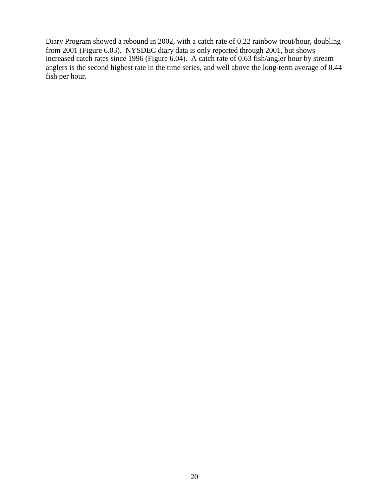Diary Program showed a rebound in 2002, with a catch rate of 0.22 rainbow trout/hour, doubling from 2001 (Figure 6.03). NYSDEC diary data is only reported through 2001, but shows increased catch rates since 1996 (Figure 6.04). A catch rate of 0.63 fish/angler hour by stream anglers is the second highest rate in the time series, and well above the long-term average of 0.44 fish per hour.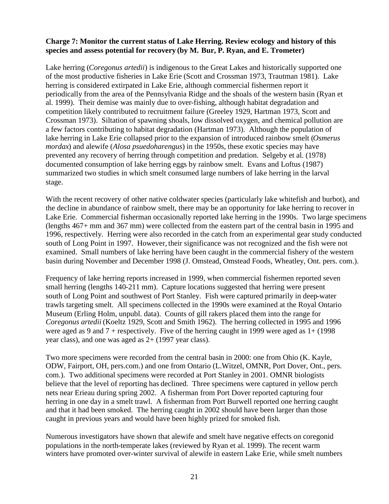#### **Charge 7: Monitor the current status of Lake Herring. Review ecology and history of this species and assess potential for recovery (by M. Bur, P. Ryan, and E. Trometer)**

Lake herring (*Coregonus artedii*) is indigenous to the Great Lakes and historically supported one of the most productive fisheries in Lake Erie (Scott and Crossman 1973, Trautman 1981). Lake herring is considered extirpated in Lake Erie, although commercial fishermen report it periodically from the area of the Pennsylvania Ridge and the shoals of the western basin (Ryan et al. 1999). Their demise was mainly due to over-fishing, although habitat degradation and competition likely contributed to recruitment failure (Greeley 1929, Hartman 1973, Scott and Crossman 1973). Siltation of spawning shoals, low dissolved oxygen, and chemical pollution are a few factors contributing to habitat degradation (Hartman 1973). Although the population of lake herring in Lake Erie collapsed prior to the expansion of introduced rainbow smelt (*Osmerus mordax*) and alewife (*Alosa psuedoharengus*) in the 1950s, these exotic species may have prevented any recovery of herring through competition and predation. Selgeby et al. (1978) documented consumption of lake herring eggs by rainbow smelt. Evans and Loftus (1987) summarized two studies in which smelt consumed large numbers of lake herring in the larval stage.

With the recent recovery of other native coldwater species (particularly lake whitefish and burbot), and the decline in abundance of rainbow smelt, there may be an opportunity for lake herring to recover in Lake Erie. Commercial fisherman occasionally reported lake herring in the 1990s. Two large specimens (lengths 467+ mm and 367 mm) were collected from the eastern part of the central basin in 1995 and 1996, respectively. Herring were also recorded in the catch from an experimental gear study conducted south of Long Point in 1997. However, their significance was not recognized and the fish were not examined. Small numbers of lake herring have been caught in the commercial fishery of the western basin during November and December 1998 (J. Omstead, Omstead Foods, Wheatley, Ont. pers. com.).

Frequency of lake herring reports increased in 1999, when commercial fishermen reported seven small herring (lengths 140-211 mm). Capture locations suggested that herring were present south of Long Point and southwest of Port Stanley. Fish were captured primarily in deep-water trawls targeting smelt. All specimens collected in the 1990s were examined at the Royal Ontario Museum (Erling Holm, unpubl. data). Counts of gill rakers placed them into the range for *Coregonus artedii* (Koeltz 1929, Scott and Smith 1962). The herring collected in 1995 and 1996 were aged as 9 and  $7 +$  respectively. Five of the herring caught in 1999 were aged as  $1 + (1998)$ year class), and one was aged as 2+ (1997 year class).

Two more specimens were recorded from the central basin in 2000: one from Ohio (K. Kayle, ODW, Fairport, OH, pers.com.) and one from Ontario (L.Witzel, OMNR, Port Dover, Ont., pers. com.). Two additional specimens were recorded at Port Stanley in 2001. OMNR biologists believe that the level of reporting has declined. Three specimens were captured in yellow perch nets near Erieau during spring 2002. A fisherman from Port Dover reported capturing four herring in one day in a smelt trawl. A fisherman from Port Burwell reported one herring caught and that it had been smoked. The herring caught in 2002 should have been larger than those caught in previous years and would have been highly prized for smoked fish.

Numerous investigators have shown that alewife and smelt have negative effects on coregonid populations in the north-temperate lakes (reviewed by Ryan et al. 1999). The recent warm winters have promoted over-winter survival of alewife in eastern Lake Erie, while smelt numbers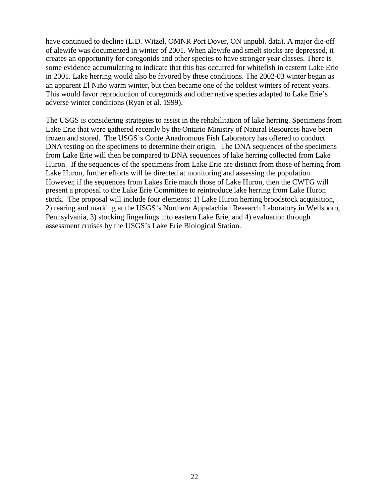have continued to decline (L.D. Witzel, OMNR Port Dover, ON unpubl. data). A major die-off of alewife was documented in winter of 2001. When alewife and smelt stocks are depressed, it creates an opportunity for coregonids and other species to have stronger year classes. There is some evidence accumulating to indicate that this has occurred for whitefish in eastern Lake Erie in 2001. Lake herring would also be favored by these conditions. The 2002-03 winter began as an apparent El Niño warm winter, but then became one of the coldest winters of recent years. This would favor reproduction of coregonids and other native species adapted to Lake Erie's adverse winter conditions (Ryan et al. 1999).

The USGS is considering strategies to assist in the rehabilitation of lake herring. Specimens from Lake Erie that were gathered recently by the Ontario Ministry of Natural Resources have been frozen and stored. The USGS's Conte Anadromous Fish Laboratory has offered to conduct DNA testing on the specimens to determine their origin. The DNA sequences of the specimens from Lake Erie will then be compared to DNA sequences of lake herring collected from Lake Huron. If the sequences of the specimens from Lake Erie are distinct from those of herring from Lake Huron, further efforts will be directed at monitoring and assessing the population. However, if the sequences from Lakes Erie match those of Lake Huron, then the CWTG will present a proposal to the Lake Erie Committee to reintroduce lake herring from Lake Huron stock. The proposal will include four elements: 1) Lake Huron herring broodstock acquisition, 2) rearing and marking at the USGS's Northern Appalachian Research Laboratory in Wellsboro, Pennsylvania, 3) stocking fingerlings into eastern Lake Erie, and 4) evaluation through assessment cruises by the USGS's Lake Erie Biological Station.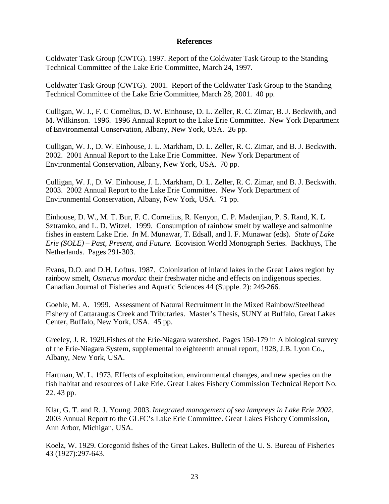#### **References**

Coldwater Task Group (CWTG). 1997. Report of the Coldwater Task Group to the Standing Technical Committee of the Lake Erie Committee, March 24, 1997.

Coldwater Task Group (CWTG). 2001. Report of the Coldwater Task Group to the Standing Technical Committee of the Lake Erie Committee, March 28, 2001. 40 pp.

Culligan, W. J., F. C Cornelius, D. W. Einhouse, D. L. Zeller, R. C. Zimar, B. J. Beckwith, and M. Wilkinson. 1996. 1996 Annual Report to the Lake Erie Committee. New York Department of Environmental Conservation, Albany, New York, USA. 26 pp.

Culligan, W. J., D. W. Einhouse, J. L. Markham, D. L. Zeller, R. C. Zimar, and B. J. Beckwith. 2002. 2001 Annual Report to the Lake Erie Committee. New York Department of Environmental Conservation, Albany, New York, USA. 70 pp.

Culligan, W. J., D. W. Einhouse, J. L. Markham, D. L. Zeller, R. C. Zimar, and B. J. Beckwith. 2003. 2002 Annual Report to the Lake Erie Committee. New York Department of Environmental Conservation, Albany, New York, USA. 71 pp.

Einhouse, D. W., M. T. Bur, F. C. Cornelius, R. Kenyon, C. P. Madenjian, P. S. Rand, K. L Sztramko, and L. D. Witzel. 1999. Consumption of rainbow smelt by walleye and salmonine fishes in eastern Lake Erie. *In* M. Munawar, T. Edsall, and I. F. Munawar (eds). *State of Lake Erie (SOLE) – Past, Present, and Future*. Ecovision World Monograph Series. Backhuys, The Netherlands. Pages 291-303.

Evans, D.O. and D.H. Loftus. 1987. Colonization of inland lakes in the Great Lakes region by rainbow smelt, *Osmerus mordax*: their freshwater niche and effects on indigenous species. Canadian Journal of Fisheries and Aquatic Sciences 44 (Supple. 2): 249-266.

Goehle, M. A. 1999. Assessment of Natural Recruitment in the Mixed Rainbow/Steelhead Fishery of Cattaraugus Creek and Tributaries. Master's Thesis, SUNY at Buffalo, Great Lakes Center, Buffalo, New York, USA. 45 pp.

Greeley, J. R. 1929.Fishes of the Erie-Niagara watershed. Pages 150-179 in A biological survey of the Erie-Niagara System, supplemental to eighteenth annual report, 1928, J.B. Lyon Co., Albany, New York, USA.

Hartman, W. L. 1973. Effects of exploitation, environmental changes, and new species on the fish habitat and resources of Lake Erie. Great Lakes Fishery Commission Technical Report No. 22. 43 pp.

Klar, G. T. and R. J. Young. 2003. *Integrated management of sea lampreys in Lake Erie 2002.* 2003 Annual Report to the GLFC's Lake Erie Committee. Great Lakes Fishery Commission, Ann Arbor, Michigan, USA.

Koelz, W. 1929. Coregonid fishes of the Great Lakes. Bulletin of the U. S. Bureau of Fisheries 43 (1927):297-643.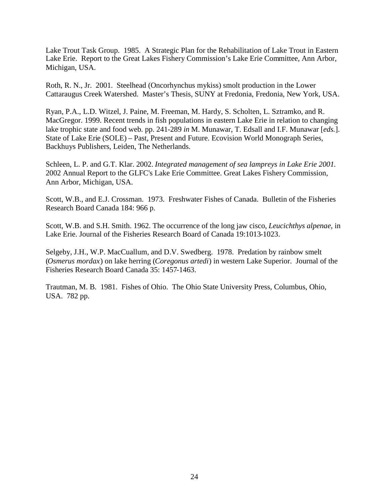Lake Trout Task Group. 1985. A Strategic Plan for the Rehabilitation of Lake Trout in Eastern Lake Erie. Report to the Great Lakes Fishery Commission's Lake Erie Committee, Ann Arbor, Michigan, USA.

Roth, R. N., Jr. 2001. Steelhead (Oncorhynchus mykiss) smolt production in the Lower Cattaraugus Creek Watershed. Master's Thesis, SUNY at Fredonia, Fredonia, New York, USA.

Ryan, P.A., L.D. Witzel, J. Paine, M. Freeman, M. Hardy, S. Scholten, L. Sztramko, and R. MacGregor. 1999. Recent trends in fish populations in eastern Lake Erie in relation to changing lake trophic state and food web. pp. 241-289 *in* M. Munawar, T. Edsall and I.F. Munawar [*eds.*]. State of Lake Erie (SOLE) – Past, Present and Future. Ecovision World Monograph Series, Backhuys Publishers, Leiden, The Netherlands.

Schleen, L. P. and G.T. Klar. 2002. *Integrated management of sea lampreys in Lake Erie 2001.* 2002 Annual Report to the GLFC's Lake Erie Committee. Great Lakes Fishery Commission, Ann Arbor, Michigan, USA.

Scott, W.B., and E.J. Crossman. 1973. Freshwater Fishes of Canada. Bulletin of the Fisheries Research Board Canada 184: 966 p.

Scott, W.B. and S.H. Smith. 1962. The occurrence of the long jaw cisco, *Leucichthys alpenae*, in Lake Erie. Journal of the Fisheries Research Board of Canada 19:1013-1023.

Selgeby, J.H., W.P. MacCuallum, and D.V. Swedberg. 1978. Predation by rainbow smelt (*Osmerus mordax*) on lake herring (*Coregonus artedi*) in western Lake Superior. Journal of the Fisheries Research Board Canada 35: 1457-1463.

Trautman, M. B. 1981. Fishes of Ohio. The Ohio State University Press, Columbus, Ohio, USA. 782 pp.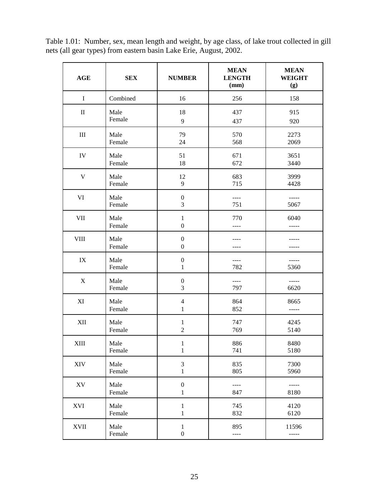| Table 1.01: Number, sex, mean length and weight, by age class, of lake trout collected in gill |  |
|------------------------------------------------------------------------------------------------|--|
| nets (all gear types) from eastern basin Lake Erie, August, 2002.                              |  |

| <b>AGE</b>                | <b>SEX</b>     | <b>NUMBER</b>                        | <b>MEAN</b><br><b>LENGTH</b><br>(mm) | <b>MEAN</b><br><b>WEIGHT</b><br>(g) |
|---------------------------|----------------|--------------------------------------|--------------------------------------|-------------------------------------|
| $\mathbf I$               | Combined       | 16                                   | 256                                  | 158                                 |
| $\mathbf{I}$              | Male           | 18                                   | 437                                  | 915                                 |
|                           | Female         | 9                                    | 437                                  | 920                                 |
| $\rm III$                 | Male           | 79                                   | 570                                  | 2273                                |
|                           | Female         | 24                                   | 568                                  | 2069                                |
| IV                        | Male           | 51                                   | 671                                  | 3651                                |
|                           | Female         | 18                                   | 672                                  | 3440                                |
| $\mathbf V$               | Male           | 12                                   | 683                                  | 3999                                |
|                           | Female         | 9                                    | 715                                  | 4428                                |
| VI                        | Male           | $\boldsymbol{0}$                     | $---$                                | -----                               |
|                           | Female         | 3                                    | 751                                  | 5067                                |
| <b>VII</b>                | Male<br>Female | $\mathbf{1}$<br>$\boldsymbol{0}$     | 770<br>----                          | 6040                                |
| <b>VIII</b>               | Male<br>Female | $\boldsymbol{0}$<br>$\boldsymbol{0}$ |                                      |                                     |
| IX                        | Male           | $\boldsymbol{0}$                     | ----                                 | -----                               |
|                           | Female         | $\mathbf{1}$                         | 782                                  | 5360                                |
| $\boldsymbol{\mathrm{X}}$ | Male           | $\boldsymbol{0}$                     | $---$                                | -----                               |
|                           | Female         | 3                                    | 797                                  | 6620                                |
| XI                        | Male           | $\overline{4}$                       | 864                                  | 8665                                |
|                           | Female         | $\mathbf{1}$                         | 852                                  | -----                               |
| XII                       | Male           | $\mathbf{1}$                         | 747                                  | 4245                                |
|                           | Female         | $\overline{2}$                       | 769                                  | 5140                                |
| <b>XIII</b>               | Male           | $\mathbf{1}$                         | 886                                  | 8480                                |
|                           | Female         | 1                                    | 741                                  | 5180                                |
| XIV                       | Male           | $\mathfrak{Z}$                       | 835                                  | 7300                                |
|                           | Female         | $\mathbf{1}$                         | 805                                  | 5960                                |
| ${\bf X}{\bf V}$          | Male           | $\boldsymbol{0}$                     | $---$                                | -----                               |
|                           | Female         | $\mathbf{1}$                         | 847                                  | 8180                                |
| XVI                       | Male           | $\mathbf{1}$                         | 745                                  | 4120                                |
|                           | Female         | $\,1$                                | 832                                  | 6120                                |
| <b>XVII</b>               | Male           | $\mathbf{1}$                         | 895                                  | 11596                               |
|                           | Female         | $\boldsymbol{0}$                     | $---$                                | -----                               |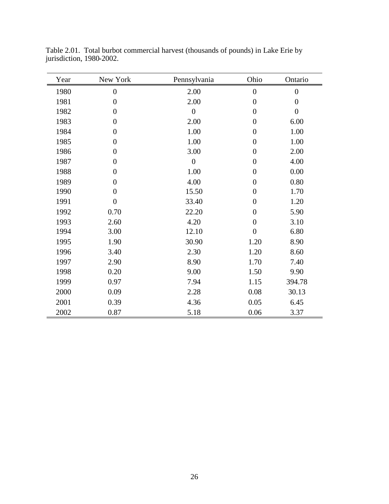| Year | New York         | Pennsylvania     | Ohio             | Ontario          |
|------|------------------|------------------|------------------|------------------|
| 1980 | $\boldsymbol{0}$ | 2.00             | $\boldsymbol{0}$ | $\boldsymbol{0}$ |
| 1981 | $\boldsymbol{0}$ | 2.00             | $\boldsymbol{0}$ | $\boldsymbol{0}$ |
| 1982 | $\boldsymbol{0}$ | $\boldsymbol{0}$ | $\boldsymbol{0}$ | $\boldsymbol{0}$ |
| 1983 | $\boldsymbol{0}$ | 2.00             | $\boldsymbol{0}$ | 6.00             |
| 1984 | $\boldsymbol{0}$ | 1.00             | $\boldsymbol{0}$ | 1.00             |
| 1985 | $\boldsymbol{0}$ | 1.00             | $\boldsymbol{0}$ | 1.00             |
| 1986 | $\boldsymbol{0}$ | 3.00             | $\boldsymbol{0}$ | 2.00             |
| 1987 | $\boldsymbol{0}$ | $\overline{0}$   | $\boldsymbol{0}$ | 4.00             |
| 1988 | $\overline{0}$   | 1.00             | $\boldsymbol{0}$ | 0.00             |
| 1989 | $\boldsymbol{0}$ | 4.00             | $\boldsymbol{0}$ | 0.80             |
| 1990 | $\boldsymbol{0}$ | 15.50            | $\boldsymbol{0}$ | 1.70             |
| 1991 | $\boldsymbol{0}$ | 33.40            | $\boldsymbol{0}$ | 1.20             |
| 1992 | 0.70             | 22.20            | $\boldsymbol{0}$ | 5.90             |
| 1993 | 2.60             | 4.20             | $\boldsymbol{0}$ | 3.10             |
| 1994 | 3.00             | 12.10            | $\boldsymbol{0}$ | 6.80             |
| 1995 | 1.90             | 30.90            | 1.20             | 8.90             |
| 1996 | 3.40             | 2.30             | 1.20             | 8.60             |
| 1997 | 2.90             | 8.90             | 1.70             | 7.40             |
| 1998 | 0.20             | 9.00             | 1.50             | 9.90             |
| 1999 | 0.97             | 7.94             | 1.15             | 394.78           |
| 2000 | 0.09             | 2.28             | 0.08             | 30.13            |
| 2001 | 0.39             | 4.36             | 0.05             | 6.45             |
| 2002 | 0.87             | 5.18             | 0.06             | 3.37             |

Table 2.01. Total burbot commercial harvest (thousands of pounds) in Lake Erie by jurisdiction, 1980-2002.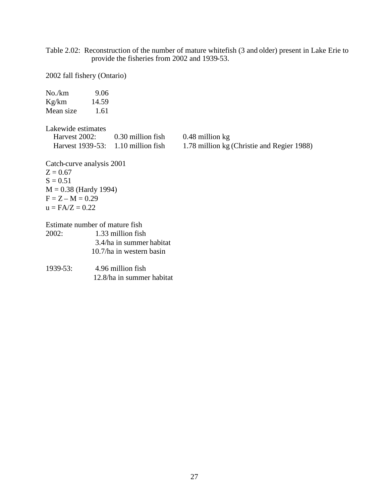Table 2.02: Reconstruction of the number of mature whitefish (3 and older) present in Lake Erie to provide the fisheries from 2002 and 1939-53.

2002 fall fishery (Ontario)

| No./km<br>Kg/km $14.59$<br>Mean size 1.61                                                                                    | 9.06 |                                                                           |                                                               |
|------------------------------------------------------------------------------------------------------------------------------|------|---------------------------------------------------------------------------|---------------------------------------------------------------|
| Lakewide estimates                                                                                                           |      | Harvest 2002: 0.30 million fish<br>Harvest $1939-53$ : 1.10 million fish  | 0.48 million kg<br>1.78 million kg (Christie and Regier 1988) |
| Catch-curve analysis 2001<br>$Z = 0.67$<br>$S = 0.51$<br>$M = 0.38$ (Hardy 1994)<br>$F = Z - M = 0.29$<br>$u = F A/Z = 0.22$ |      |                                                                           |                                                               |
| Estimate number of mature fish                                                                                               |      |                                                                           |                                                               |
| 2002:                                                                                                                        |      | 1.33 million fish<br>3.4/ha in summer habitat<br>10.7/ha in western basin |                                                               |
| 1939-53:                                                                                                                     |      | 4.96 million fish<br>12.8/ha in summer habitat                            |                                                               |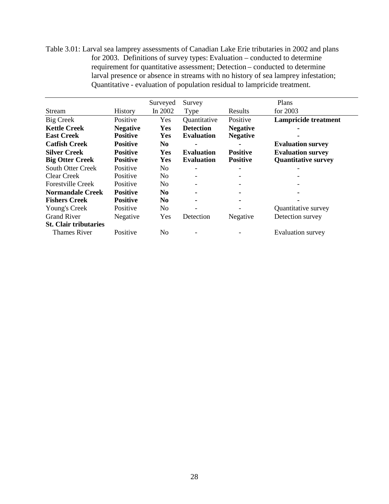Table 3.01: Larval sea lamprey assessments of Canadian Lake Erie tributaries in 2002 and plans for 2003. Definitions of survey types: Evaluation – conducted to determine requirement for quantitative assessment; Detection – conducted to determine larval presence or absence in streams with no history of sea lamprey infestation; Quantitative - evaluation of population residual to lampricide treatment.

|                              |                 | Surveyed       | Survey                   |                 | Plans                       |
|------------------------------|-----------------|----------------|--------------------------|-----------------|-----------------------------|
| Stream                       | History         | In 2002        | Type                     | Results         | for 2003                    |
| Big Creek                    | Positive        | Yes            | Quantitative             | Positive        | <b>Lampricide treatment</b> |
| <b>Kettle Creek</b>          | <b>Negative</b> | Yes            | <b>Detection</b>         | <b>Negative</b> |                             |
| <b>East Creek</b>            | <b>Positive</b> | <b>Yes</b>     | <b>Evaluation</b>        | <b>Negative</b> |                             |
| <b>Catfish Creek</b>         | <b>Positive</b> | N <sub>0</sub> |                          |                 | <b>Evaluation survey</b>    |
| <b>Silver Creek</b>          | <b>Positive</b> | Yes            | <b>Evaluation</b>        | <b>Positive</b> | <b>Evaluation survey</b>    |
| <b>Big Otter Creek</b>       | <b>Positive</b> | Yes            | <b>Evaluation</b>        | <b>Positive</b> | <b>Quantitative survey</b>  |
| <b>South Otter Creek</b>     | Positive        | N <sub>0</sub> | $\overline{\phantom{a}}$ |                 |                             |
| Clear Creek                  | Positive        | N <sub>o</sub> | $\overline{\phantom{a}}$ |                 |                             |
| <b>Forestville Creek</b>     | Positive        | N <sub>0</sub> | $\overline{\phantom{a}}$ |                 |                             |
| Normandale Creek             | <b>Positive</b> | N <sub>0</sub> | ۰.                       |                 |                             |
| <b>Fishers Creek</b>         | <b>Positive</b> | N <sub>0</sub> | $\blacksquare$           |                 |                             |
| Young's Creek                | Positive        | N <sub>0</sub> |                          |                 | Quantitative survey         |
| <b>Grand River</b>           | Negative        | Yes            | Detection                | Negative        | Detection survey            |
| <b>St. Clair tributaries</b> |                 |                |                          |                 |                             |
| Thames River                 | Positive        | No             |                          |                 | Evaluation survey           |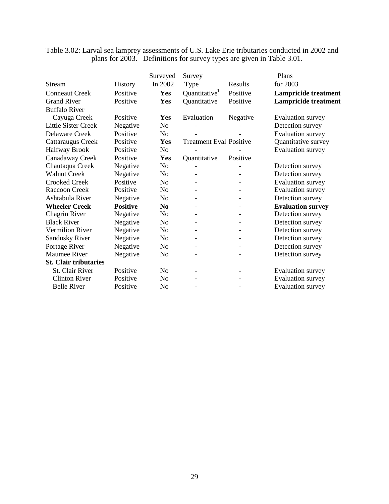|                              |                 | Surveyed       | Survey                         |          | Plans                       |
|------------------------------|-----------------|----------------|--------------------------------|----------|-----------------------------|
| Stream                       | <b>History</b>  | In 2002        | Type                           | Results  | for 2003                    |
| <b>Conneaut Creek</b>        | Positive        | Yes            | Quantitative <sup>1</sup>      | Positive | <b>Lampricide treatment</b> |
| <b>Grand River</b>           | Positive        | <b>Yes</b>     | Quantitative                   | Positive | <b>Lampricide treatment</b> |
| <b>Buffalo River</b>         |                 |                |                                |          |                             |
| Cayuga Creek                 | Positive        | Yes            | Evaluation                     | Negative | Evaluation survey           |
| Little Sister Creek          | Negative        | N <sub>o</sub> |                                |          | Detection survey            |
| Delaware Creek               | Positive        | N <sub>o</sub> |                                |          | Evaluation survey           |
| Cattaraugus Creek            | Positive        | Yes            | <b>Treatment Eval Positive</b> |          | Quantitative survey         |
| Halfway Brook                | Positive        | No             |                                |          | Evaluation survey           |
| Canadaway Creek              | Positive        | Yes            | Quantitative                   | Positive |                             |
| Chautaqua Creek              | Negative        | N <sub>o</sub> |                                |          | Detection survey            |
| <b>Walnut Creek</b>          | Negative        | N <sub>o</sub> |                                |          | Detection survey            |
| <b>Crooked Creek</b>         | Positive        | N <sub>o</sub> |                                |          | <b>Evaluation</b> survey    |
| Raccoon Creek                | Positive        | No             |                                |          | <b>Evaluation</b> survey    |
| Ashtabula River              | Negative        | No             |                                |          | Detection survey            |
| <b>Wheeler Creek</b>         | <b>Positive</b> | N <sub>0</sub> |                                |          | <b>Evaluation survey</b>    |
| Chagrin River                | Negative        | No             |                                |          | Detection survey            |
| <b>Black River</b>           | Negative        | N <sub>o</sub> |                                |          | Detection survey            |
| Vermilion River              | Negative        | N <sub>0</sub> |                                |          | Detection survey            |
| <b>Sandusky River</b>        | Negative        | No             |                                |          | Detection survey            |
| Portage River                | Negative        | N <sub>o</sub> |                                |          | Detection survey            |
| Maumee River                 | Negative        | No             |                                |          | Detection survey            |
| <b>St. Clair tributaries</b> |                 |                |                                |          |                             |
| St. Clair River              | Positive        | N <sub>o</sub> |                                |          | Evaluation survey           |
| <b>Clinton River</b>         | Positive        | No             |                                |          | <b>Evaluation</b> survey    |
| <b>Belle River</b>           | Positive        | No             |                                |          | <b>Evaluation survey</b>    |

Table 3.02: Larval sea lamprey assessments of U.S. Lake Erie tributaries conducted in 2002 and plans for 2003. Definitions for survey types are given in Table 3.01.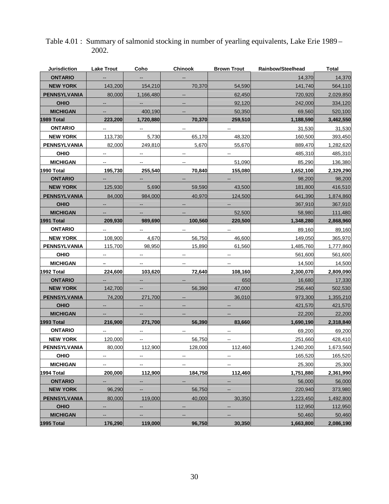| <b>Jurisdiction</b> | <b>Lake Trout</b>        | Coho                     | <b>Chinook</b>                                | <b>Brown Trout</b>       | Rainbow/Steelhead | <b>Total</b> |
|---------------------|--------------------------|--------------------------|-----------------------------------------------|--------------------------|-------------------|--------------|
| <b>ONTARIO</b>      |                          |                          |                                               |                          | 14,370            | 14,370       |
| <b>NEW YORK</b>     | 143,200                  | 154,210                  | 70,370                                        | 54,590                   | 141,740           | 564,110      |
| <b>PENNSYLVANIA</b> | 80,000                   | 1,166,480                | $\qquad \qquad -$                             | 62,450                   | 720,920           | 2,029,850    |
| <b>OHIO</b>         |                          | --                       |                                               | 92,120                   | 242,000           | 334,120      |
| <b>MICHIGAN</b>     |                          | 400,190                  |                                               | 50,350                   | 69,560            | 520,100      |
| 1989 Total          | 223,200                  | 1,720,880                | 70,370                                        | 259,510                  | 1,188,590         | 3,462,550    |
| <b>ONTARIO</b>      |                          | ۰.                       | $\overline{\phantom{a}}$                      | --                       | 31,530            | 31,530       |
| <b>NEW YORK</b>     | 113.730                  | 5,730                    | 65,170                                        | 48,320                   | 160,500           | 393,450      |
| <b>PENNSYLVANIA</b> | 82,000                   | 249,810                  | 5,670                                         | 55,670                   | 889,470           | 1,282,620    |
| <b>OHIO</b>         |                          |                          |                                               |                          | 485,310           | 485,310      |
| <b>MICHIGAN</b>     | --                       | $-$                      | $\overline{\phantom{a}}$                      | 51,090                   | 85,290            | 136,380      |
| 1990 Total          | 195,730                  | 255,540                  | 70,840                                        | 155,080                  | 1,652,100         | 2,329,290    |
| <b>ONTARIO</b>      |                          |                          |                                               |                          | 98,200            | 98,200       |
| <b>NEW YORK</b>     | 125,930                  | 5,690                    | 59,590                                        | 43,500                   | 181,800           | 416,510      |
| <b>PENNSYLVANIA</b> | 84,000                   | 984,000                  | 40,970                                        | 124,500                  | 641,390           | 1,874,860    |
| <b>OHIO</b>         |                          |                          |                                               |                          | 367,910           | 367,910      |
| <b>MICHIGAN</b>     |                          |                          |                                               | 52,500                   | 58,980            | 111,480      |
| 1991 Total          | 209,930                  | 989,690                  | 100,560                                       | 220,500                  | 1,348,280         | 2,868,960    |
| <b>ONTARIO</b>      |                          | $\overline{a}$           |                                               |                          | 89,160            | 89,160       |
| <b>NEW YORK</b>     | 108,900                  | 4,670                    | 56,750                                        | 46,600                   | 149,050           | 365,970      |
| <b>PENNSYLVANIA</b> | 115,700                  | 98,950                   | 15,890                                        | 61,560                   | 1,485,760         | 1,777,860    |
| <b>OHIO</b>         | ۰.                       | --                       | --                                            | --                       | 561,600           | 561,600      |
| <b>MICHIGAN</b>     | -                        | $\sim$                   | $\mathord{\hspace{1pt}\text{--}\hspace{1pt}}$ | $\overline{\phantom{a}}$ | 14,500            | 14,500       |
| 1992 Total          | 224,600                  | 103,620                  | 72,640                                        | 108,160                  | 2,300,070         | 2,809,090    |
| <b>ONTARIO</b>      |                          |                          |                                               | 650                      | 16,680            | 17,330       |
| <b>NEW YORK</b>     | 142,700                  |                          | 56,390                                        | 47,000                   | 256,440           | 502,530      |
| <b>PENNSYLVANIA</b> | 74,200                   | 271,700                  |                                               | 36,010                   | 973,300           | 1,355,210    |
| <b>OHIO</b>         | $\overline{\phantom{a}}$ | --                       |                                               |                          | 421,570           | 421,570      |
| <b>MICHIGAN</b>     |                          |                          |                                               |                          | 22,200            | 22,200       |
| 1993 Total          | 216,900                  | 271,700                  | 56,390                                        | 83,660                   | 1,690,190         | 2,318,840    |
| <b>ONTARIO</b>      |                          |                          | $\overline{\phantom{a}}$                      | --                       | 69,200            | 69,200       |
| <b>NEW YORK</b>     | 120,000                  |                          | 56,750                                        | --                       | 251,660           | 428,410      |
| <b>PENNSYLVANIA</b> | 80,000                   | 112,900                  | 128,000                                       | 112,460                  | 1,240,200         | 1,673,560    |
| <b>OHIO</b>         | --                       | $\overline{\phantom{a}}$ | --                                            | --                       | 165,520           | 165,520      |
| <b>MICHIGAN</b>     | --                       |                          | --                                            |                          | 25,300            | 25,300       |
| 1994 Total          | 200,000                  | 112,900                  | 184,750                                       | 112,460                  | 1,751,880         | 2,361,990    |
| <b>ONTARIO</b>      | --                       | --                       | $\overline{\phantom{a}}$                      |                          | 56,000            | 56,000       |
| <b>NEW YORK</b>     | 96,290                   | --                       | 56,750                                        |                          | 220,940           | 373,980      |
| <b>PENNSYLVANIA</b> | 80,000                   | 119,000                  | 40,000                                        | 30,350                   | 1,223,450         | 1,492,800    |
| <b>OHIO</b>         |                          | --                       |                                               |                          | 112,950           | 112,950      |
| <b>MICHIGAN</b>     |                          |                          |                                               | --                       | 50,460            | 50,460       |
| 1995 Total          | 176,290                  | 119,000                  | 96,750                                        | 30,350                   | 1,663,800         | 2,086,190    |

# Table 4.01 : Summary of salmonid stocking in number of yearling equivalents, Lake Erie 1989 – 2002.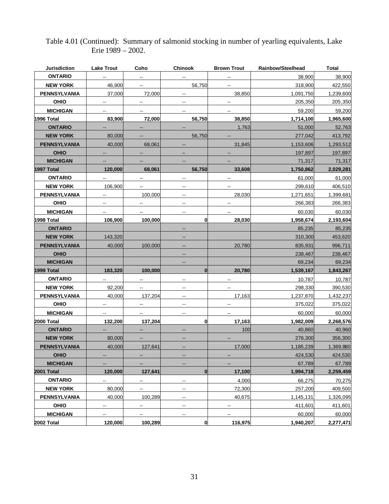| <b>Jurisdiction</b> | <b>Lake Trout</b>        | Coho                     | <b>Chinook</b>                      | <b>Brown Trout</b>       | Rainbow/Steelhead | Total     |
|---------------------|--------------------------|--------------------------|-------------------------------------|--------------------------|-------------------|-----------|
| <b>ONTARIO</b>      |                          | $\overline{a}$           |                                     |                          | 38,900            | 38,900    |
| <b>NEW YORK</b>     | 46,900                   | Ξ.                       | 56,750                              | $\sim$                   | 318,900           | 422,550   |
| PENNSYLVANIA        | 37,000                   | 72,000                   | щ.                                  | 38,850                   | 1,091,750         | 1,239,600 |
| <b>OHIO</b>         | --                       | Ξ.                       | $\overline{\phantom{a}}$            | Щ,                       | 205,350           | 205,350   |
| <b>MICHIGAN</b>     | ۰.                       | $\overline{\phantom{a}}$ | щ.                                  | $\ddotsc$                | 59,200            | 59,200    |
| 1996 Total          | 83,900                   | 72,000                   | 56,750                              | 38,850                   | 1,714,100         | 1,965,600 |
| <b>ONTARIO</b>      | --                       | ۰.                       |                                     | 1,763                    | 51,000            | 52,763    |
| <b>NEW YORK</b>     | 80,000                   | $\overline{\phantom{a}}$ | 56,750                              |                          | 277,042           | 413,792   |
| <b>PENNSYLVANIA</b> | 40,000                   | 68,061                   |                                     | 31,845                   | 1,153,606         | 1,293,512 |
| <b>OHIO</b>         | --                       | --                       |                                     |                          | 197,897           | 197,897   |
| <b>MICHIGAN</b>     |                          |                          |                                     |                          | 71,317            | 71,317    |
| 1997 Total          | 120,000                  | 68,061                   | 56,750                              | 33,608                   | 1,750,862         | 2,029,281 |
| <b>ONTARIO</b>      | --                       | $\overline{a}$           |                                     |                          | 61,000            | 61,000    |
| <b>NEW YORK</b>     | 106,900                  | $\overline{\phantom{a}}$ | $\overline{\phantom{a}}$            | ш.                       | 299,610           | 406,510   |
| PENNSYLVANIA        | ۰.                       | 100,000                  | $\hspace{0.05cm}$ $\hspace{0.05cm}$ | 28,030                   | 1,271,651         | 1,399,681 |
| <b>OHIO</b>         | $\overline{\phantom{a}}$ | $\overline{\phantom{a}}$ | $\overline{\phantom{a}}$            | --                       | 266,383           | 266,383   |
| <b>MICHIGAN</b>     | ۰.                       | $\sim$                   | --                                  | $\overline{\phantom{a}}$ | 60,030            | 60,030    |
| 1998 Total          | 106,900                  | 100,000                  | 0                                   | 28,030                   | 1,958,674         | 2,193,604 |
| <b>ONTARIO</b>      |                          |                          |                                     |                          | 85,235            | 85,235    |
| <b>NEW YORK</b>     | 143,320                  |                          |                                     |                          | 310,300           | 453,620   |
| <b>PENNSYLVANIA</b> | 40,000                   | 100,000                  |                                     | 20,780                   | 835,931           | 996,711   |
| <b>OHIO</b>         |                          |                          | --                                  |                          | 238,467           | 238,467   |
| <b>MICHIGAN</b>     |                          |                          |                                     |                          | 69,234            | 69,234    |
| 1999 Total          | 183,320                  | 100,000                  | $\bf{0}$                            | 20,780                   | 1,539,167         | 1,843,267 |
| <b>ONTARIO</b>      | $\overline{\phantom{a}}$ | ш.                       |                                     |                          | 10,787            | 10,787    |
| <b>NEW YORK</b>     | 92,200                   | .,                       | $\overline{\phantom{a}}$            |                          | 298,330           | 390,530   |
| <b>PENNSYLVANIA</b> | 40,000                   | 137,204                  | $\overline{\phantom{a}}$            | 17,163                   | 1,237,870         | 1,432,237 |
| <b>OHIO</b>         | $\overline{\phantom{a}}$ | $\overline{\phantom{a}}$ | $\overline{\phantom{a}}$            | --                       | 375,022           | 375,022   |
| <b>MICHIGAN</b>     | $\overline{\phantom{a}}$ | --                       | $\hspace{0.05cm}$ $\hspace{0.05cm}$ | $\overline{\phantom{a}}$ | 60.000            | 60,000    |
| 2000 Total          | 132,200                  | 137,204                  | 0                                   | 17,163                   | 1,982,009         | 2,268,576 |
| <b>ONTARIO</b>      | н.                       | $\qquad \qquad -$        |                                     | 100                      | 40,860            | 40,960    |
| <b>NEW YORK</b>     | 80,000                   | $\qquad \qquad -$        |                                     |                          | 276,300           | 356,300   |
| <b>PENNSYLVANIA</b> | 40,000                   | 127,641                  |                                     | 17,000                   | 1,185,239         | 1,369,880 |
| <b>OHIO</b>         | --                       | --                       | --                                  |                          | 424,530           | 424,530   |
| <b>MICHIGAN</b>     |                          |                          |                                     |                          | 67,789            | 67,789    |
| 2001 Total          | 120,000                  | 127,641                  | $\bf{0}$                            | 17,100                   | 1,994,718         | 2,259,459 |
| <b>ONTARIO</b>      | --                       | --                       | --                                  | 4,000                    | 66,275            | 70,275    |
| <b>NEW YORK</b>     | 80,000                   |                          |                                     | 72,300                   | 257,200           | 409,500   |
| PENNSYLVANIA        | 40,000                   | 100,289                  | $\overline{\phantom{a}}$            | 40,675                   | 1,145,131         | 1,326,095 |
| OHIO                | --                       | --                       | $\overline{\phantom{a}}$            |                          | 411,601           | 411,601   |
| <b>MICHIGAN</b>     | ۰.                       | $\overline{\phantom{a}}$ | $\hspace{0.05cm}$ $\hspace{0.05cm}$ | $\overline{a}$           | 60,000            | 60,000    |
| 2002 Total          | 120,000                  | 100,289                  | 0                                   | 116,975                  | 1,940,207         | 2,277,471 |

# Table 4.01 (Continued): Summary of salmonid stocking in number of yearling equivalents, Lake Erie 1989 – 2002.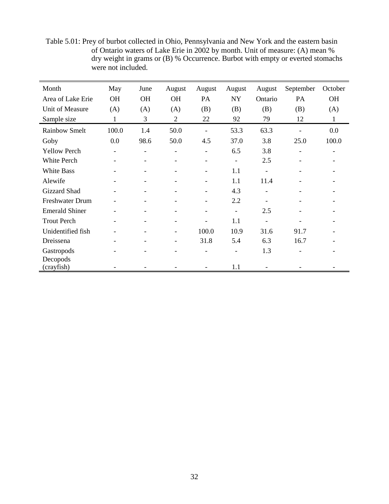| Month                  | May       | June                     | August                       | August                   | August                   | August  | September | October   |
|------------------------|-----------|--------------------------|------------------------------|--------------------------|--------------------------|---------|-----------|-----------|
| Area of Lake Erie      | <b>OH</b> | <b>OH</b>                | <b>OH</b>                    | PA                       | <b>NY</b>                | Ontario | PA        | <b>OH</b> |
| Unit of Measure        | (A)       | (A)                      | (A)                          | (B)                      | (B)                      | (B)     | (B)       | (A)       |
| Sample size            | 1         | 3                        | $\overline{2}$               | 22                       | 92                       | 79      | 12        | 1         |
| <b>Rainbow Smelt</b>   | 100.0     | 1.4                      | 50.0                         | $\overline{\phantom{a}}$ | 53.3                     | 63.3    |           | 0.0       |
| Goby                   | 0.0       | 98.6                     | 50.0                         | 4.5                      | 37.0                     | 3.8     | 25.0      | 100.0     |
| <b>Yellow Perch</b>    |           |                          |                              | $\overline{\phantom{0}}$ | 6.5                      | 3.8     |           |           |
| White Perch            | -         | -                        |                              | $\overline{\phantom{a}}$ | $\overline{\phantom{a}}$ | 2.5     |           |           |
| <b>White Bass</b>      | -         | -                        |                              | $\overline{\phantom{a}}$ | 1.1                      |         |           |           |
| Alewife                | -         | ۰                        |                              | $\overline{\phantom{a}}$ | 1.1                      | 11.4    |           |           |
| Gizzard Shad           |           | ۰                        |                              | ۰                        | 4.3                      |         |           |           |
| Freshwater Drum        |           | $\overline{\phantom{0}}$ |                              | -                        | 2.2                      |         |           |           |
| <b>Emerald Shiner</b>  | -         | $\overline{\phantom{a}}$ |                              | $\qquad \qquad -$        | $\overline{\phantom{a}}$ | 2.5     |           |           |
| <b>Trout Perch</b>     | -         | ۰                        |                              | $\overline{\phantom{0}}$ | 1.1                      |         |           |           |
| Unidentified fish      |           | ۰                        |                              | 100.0                    | 10.9                     | 31.6    | 91.7      |           |
| Dreissena              |           | $\overline{\phantom{0}}$ | $\qquad \qquad \blacksquare$ | 31.8                     | 5.4                      | 6.3     | 16.7      |           |
| Gastropods             |           |                          |                              |                          |                          | 1.3     |           |           |
| Decopods<br>(crayfish) |           |                          |                              |                          | 1.1                      |         |           |           |

Table 5.01: Prey of burbot collected in Ohio, Pennsylvania and New York and the eastern basin of Ontario waters of Lake Erie in 2002 by month. Unit of measure: (A) mean % dry weight in grams or (B) % Occurrence. Burbot with empty or everted stomachs were not included.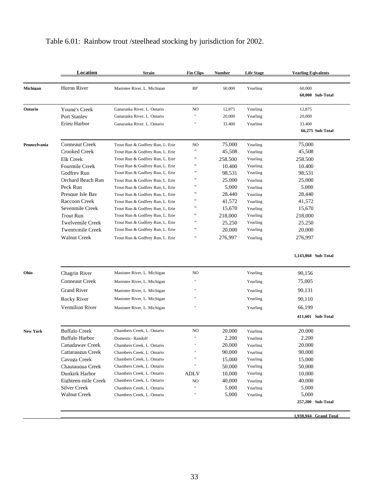# Table 6.01: Rainbow trout /steelhead stocking by jurisdiction for 2002.

|                 | Location                | <b>Strain</b>                    | <b>Fin Clips</b>     | <b>Number</b> | <b>Life Stage</b> | <b>Yearling Eqivalents</b> |
|-----------------|-------------------------|----------------------------------|----------------------|---------------|-------------------|----------------------------|
|                 |                         |                                  |                      |               |                   |                            |
| Michigan        | Huron River             | Manistee River, L. Michigan      | <b>RP</b>            | 60,000        | Yearling          | 60,000                     |
|                 |                         |                                  |                      |               |                   | 60,000 Sub-Total           |
| Ontario         | Young's Creek           | Ganaraska River, L. Ontario      | NO                   | 12,875        | Yearling          | 12,875                     |
|                 | Port Stanlev            | Ganaraska River, L. Ontario      | Ħ                    | 20,000        | Yearling          | 20,000                     |
|                 | Erieu Harbor            | Ganaraska River, L. Ontario      | Ħ                    | 33,400        | Yearling          | 33,400                     |
|                 |                         |                                  |                      |               |                   | 66,275 Sub-Total           |
| Pennsylvania    | Conneaut Creek          | Trout Run & Godfrey Run, L. Erie | NO                   | 75,000        | Yearling          | 75,000                     |
|                 | Crooked Creek           | Trout Run & Godfrey Run, L. Erie | $\pmb{\mathfrak{m}}$ | 45.508        | Yearling          | 45,508                     |
|                 | Elk Creek               | Trout Run & Godfrey Run, L. Erie | $\pmb{\mathfrak{m}}$ | 258.500       | Yearling          | 258.500                    |
|                 | Fourmile Creek          | Trout Run & Godfrey Run, L. Erie | $\pmb{\mathfrak{m}}$ | 10.400        | Yearling          | 10.400                     |
|                 | Godfrey Run             | Trout Run & Godfrey Run, L. Erie | 11                   | 98,531        | Yearling          | 98,531                     |
|                 | Orchard Beach Run       | Trout Run & Godfrev Run. L. Erie | $\pmb{\mathfrak{m}}$ | 25.000        | Yearling          | 25,000                     |
|                 | Peck Run                | Trout Run & Godfrey Run, L. Erie | "                    | 5,000         | Yearling          | 5,000                      |
|                 | Presque Isle Bay        | Trout Run & Godfrey Run, L. Erie | 11                   | 28,440        | Yearling          | 28,440                     |
|                 | Raccoon Creek           | Trout Run & Godfrev Run, L. Erie | $\pmb{\mathfrak{m}}$ | 41,572        | Yearling          | 41,572                     |
|                 | Sevenmile Creek         | Trout Run & Godfrey Run, L. Erie | $\pmb{\mathfrak{m}}$ | 15,670        | Yearling          | 15,670                     |
|                 | <b>Trout Run</b>        | Trout Run & Godfrey Run, L. Erie | "                    | 218.000       | Yearling          | 218.000                    |
|                 | Twelvemile Creek        | Trout Run & Godfrey Run, L. Erie | "                    | 25.250        | Yearling          | 25.250                     |
|                 | <b>Twentymile Creek</b> | Trout Run & Godfrey Run, L. Erie | "                    | 20.000        | Yearling          | 20.000                     |
|                 | <b>Walnut Creek</b>     | Trout Run & Godfrey Run, L. Erie | 11                   | 276,997       | Yearling          | 276,997                    |
|                 |                         |                                  |                      |               |                   | 1,143,868 Sub-Total        |
| Ohio            | Chagrin River           | Manistee River, L. Michigan      | NO                   |               | Yearling          | 90,156                     |
|                 | <b>Conneaut Creek</b>   | Manistee River, L. Michigan      |                      |               | Yearling          | 75,005                     |
|                 |                         |                                  | $\mathbf{H}$         |               |                   |                            |
|                 | <b>Grand River</b>      | Manistee River, L. Michigan      |                      |               | Yearling          | 90,131                     |
|                 | Rocky River             | Manistee River, L. Michigan      |                      |               | Yearling          | 90,110                     |
|                 | Vermilion River         | Manistee River, L. Michigan      | Ħ                    |               | Yearling          | 66,199                     |
|                 |                         |                                  |                      |               |                   | 411,601 Sub-Total          |
| <b>New York</b> | <b>Buffalo Creek</b>    | Chambers Creek, L. Ontario       | NO                   | 20.000        | Yearling          | 20.000                     |
|                 | Buffalo Harbor          | Domestic-Randolf                 | Ħ                    | 2,200         | Yearling          | 2,200                      |
|                 | Canadaway Creek         | Chambers Creek, L. Ontario       |                      | 20,000        | Yearling          | 20,000                     |
|                 | Cattaraugus Creek       | Chambers Creek, L. Ontario       | Ħ                    | 90,000        | Yearling          | 90,000                     |
|                 | Cavuga Creek            | Chambers Creek, L. Ontario       | $\mathfrak n$        | 15.000        | Yearling          | 15.000                     |
|                 | Chautauqua Creek        | Chambers Creek, L. Ontario       | Ħ                    | 50.000        | Yearling          | 50.000                     |
|                 | Dunkirk Harbor          | Chambers Creek, L. Ontario       | ADLV                 | 10.000        | Yearling          | 10.000                     |
|                 | Eighteen-mile Creek     | Chambers Creek, L. Ontario       | NO                   | 40.000        | Yearling          | 40,000                     |
|                 | Silver Creek            | Chambers Creek, L. Ontario       | Ħ                    | 5,000         | Yearling          | 5,000                      |
|                 | Walnut Creek            | Chambers Creek, L. Ontario       | Ħ                    | 5,000         | Yearling          | 5,000                      |
|                 |                         |                                  |                      |               |                   | 257,200 Sub-Total          |
|                 |                         |                                  |                      |               |                   | 1,938,944 Grand Total      |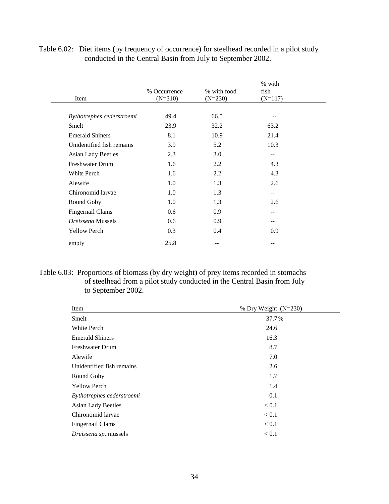| Item                      | % Occurrence<br>$(N=310)$ | % with food<br>$(N=230)$ | % with<br>fish<br>$(N=117)$ |  |
|---------------------------|---------------------------|--------------------------|-----------------------------|--|
|                           |                           |                          |                             |  |
| Bythotrephes cederstroemi | 49.4                      | 66.5                     | --                          |  |
| Smelt                     | 23.9                      | 32.2                     | 63.2                        |  |
| <b>Emerald Shiners</b>    | 8.1                       | 10.9                     | 21.4                        |  |
| Unidentified fish remains | 3.9                       | 5.2                      | 10.3                        |  |
| <b>Asian Lady Beetles</b> | 2.3                       | 3.0                      | $-$                         |  |
| <b>Freshwater Drum</b>    | 1.6                       | 2.2                      | 4.3                         |  |
| White Perch               | 1.6                       | 2.2                      | 4.3                         |  |
| Alewife                   | 1.0                       | 1.3                      | 2.6                         |  |
| Chironomid larvae         | 1.0                       | 1.3                      | $-$                         |  |
| Round Goby                | 1.0                       | 1.3                      | 2.6                         |  |
| Fingernail Clams          | 0.6                       | 0.9                      | --                          |  |
| <i>Dreissena</i> Mussels  | 0.6                       | 0.9                      | $- -$                       |  |
| <b>Yellow Perch</b>       | 0.3                       | 0.4                      | 0.9                         |  |
| empty                     | 25.8                      |                          | --                          |  |

Table 6.02: Diet items (by frequency of occurrence) for steelhead recorded in a pilot study conducted in the Central Basin from July to September 2002.

Table 6.03: Proportions of biomass (by dry weight) of prey items recorded in stomachs of steelhead from a pilot study conducted in the Central Basin from July to September 2002.

| Item                      | % Dry Weight $(N=230)$ |
|---------------------------|------------------------|
| Smelt                     | 37.7%                  |
| White Perch               | 24.6                   |
| <b>Emerald Shiners</b>    | 16.3                   |
| <b>Freshwater Drum</b>    | 8.7                    |
| Alewife                   | 7.0                    |
| Unidentified fish remains | 2.6                    |
| Round Goby                | 1.7                    |
| <b>Yellow Perch</b>       | 1.4                    |
| Bythotrephes cederstroemi | 0.1                    |
| <b>Asian Lady Beetles</b> | < 0.1                  |
| Chironomid larvae         | < 0.1                  |
| Fingernail Clams          | < 0.1                  |
| Dreissena sp. mussels     | < 0.1                  |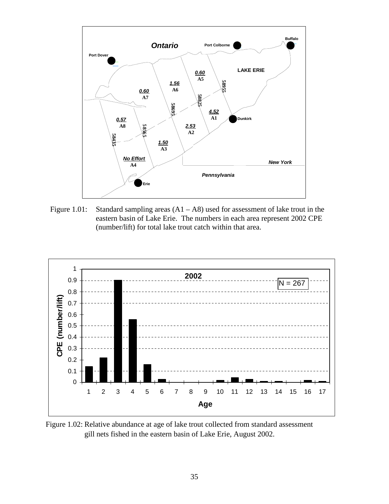

Figure 1.01: Standard sampling areas  $(A1 - A8)$  used for assessment of lake trout in the eastern basin of Lake Erie. The numbers in each area represent 2002 CPE (number/lift) for total lake trout catch within that area.



Figure 1.02: Relative abundance at age of lake trout collected from standard assessment gill nets fished in the eastern basin of Lake Erie, August 2002.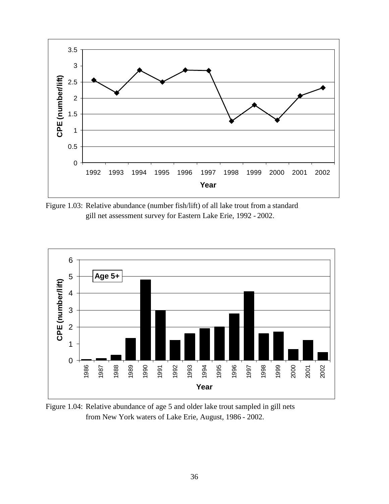

Figure 1.03: Relative abundance (number fish/lift) of all lake trout from a standard gill net assessment survey for Eastern Lake Erie, 1992 - 2002.



Figure 1.04: Relative abundance of age 5 and older lake trout sampled in gill nets from New York waters of Lake Erie, August, 1986 - 2002.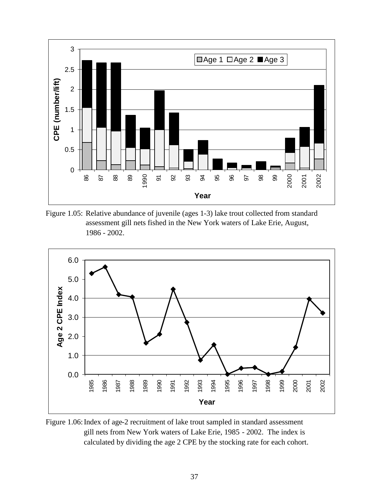

Figure 1.05: Relative abundance of juvenile (ages 1-3) lake trout collected from standard assessment gill nets fished in the New York waters of Lake Erie, August, - 2002.



Figure 1.06: Index of age-2 recruitment of lake trout sampled in standard assessment gill nets from New York waters of Lake Erie, 1985 - 2002. The index is calculated by dividing the age 2 CPE by the stocking rate for each cohort.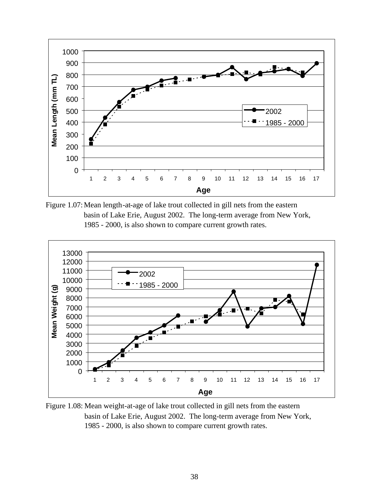

Figure 1.07:Mean length-at-age of lake trout collected in gill nets from the eastern basin of Lake Erie, August 2002. The long-term average from New York, - 2000, is also shown to compare current growth rates.



Figure 1.08: Mean weight-at-age of lake trout collected in gill nets from the eastern basin of Lake Erie, August 2002. The long-term average from New York, - 2000, is also shown to compare current growth rates.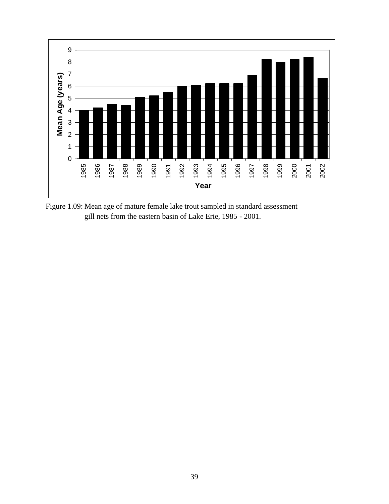

Figure 1.09: Mean age of mature female lake trout sampled in standard assessment gill nets from the eastern basin of Lake Erie, 1985 - 2001.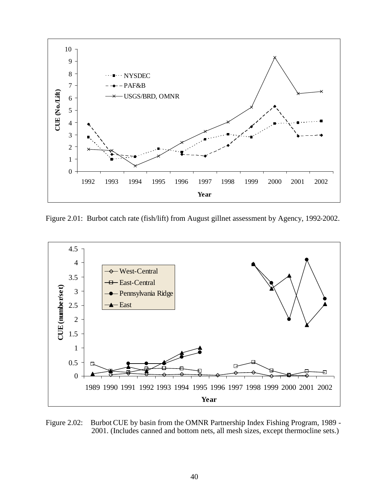

Figure 2.01: Burbot catch rate (fish/lift) from August gillnet assessment by Agency, 1992-2002.



Figure 2.02: Burbot CUE by basin from the OMNR Partnership Index Fishing Program, 1989 - 2001. (Includes canned and bottom nets, all mesh sizes, except thermocline sets.)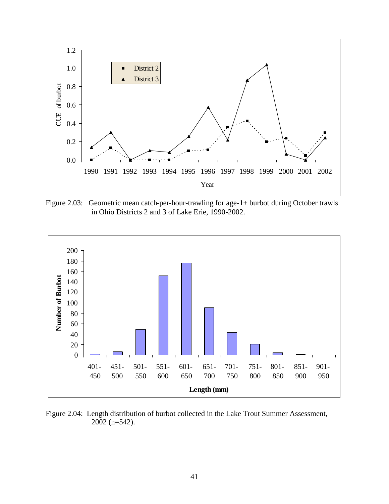

Figure 2.03: Geometric mean catch-per-hour-trawling for age-1+ burbot during October trawls in Ohio Districts 2 and 3 of Lake Erie, 1990-2002.



Figure 2.04: Length distribution of burbot collected in the Lake Trout Summer Assessment, 2002 (n=542).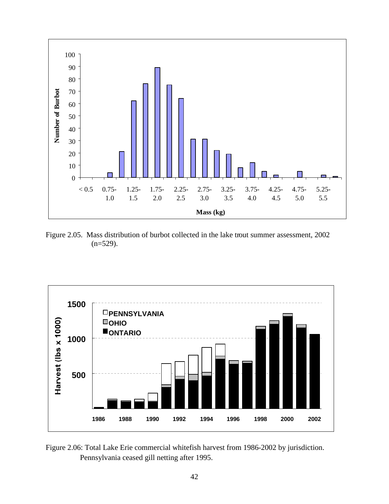

Figure 2.05. Mass distribution of burbot collected in the lake trout summer assessment, 2002  $(n=529)$ .



Figure 2.06: Total Lake Erie commercial whitefish harvest from 1986-2002 by jurisdiction. Pennsylvania ceased gill netting after 1995.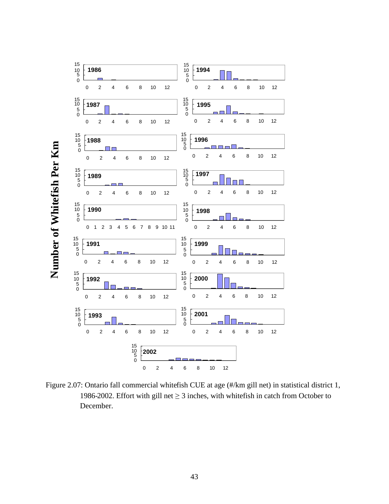

Figure 2.07: Ontario fall commercial whitefish CUE at age (#/km gill net) in statistical district 1, 1986-2002. Effort with gill net  $\geq$  3 inches, with whitefish in catch from October to December.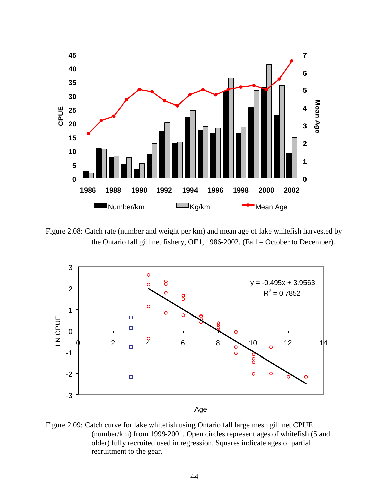

Figure 2.08: Catch rate (number and weight per km) and mean age of lake whitefish harvested by the Ontario fall gill net fishery, OE1, 1986-2002. (Fall = October to December).



Figure 2.09: Catch curve for lake whitefish using Ontario fall large mesh gill net CPUE (number/km) from 1999-2001. Open circles represent ages of whitefish (5 and older) fully recruited used in regression. Squares indicate ages of partial recruitment to the gear.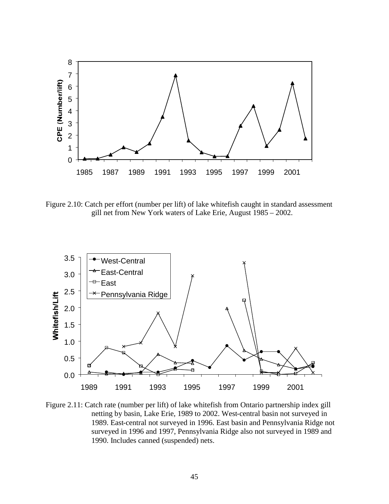

Figure 2.10: Catch per effort (number per lift) of lake whitefish caught in standard assessment gill net from New York waters of Lake Erie, August 1985 – 2002.



Figure 2.11: Catch rate (number per lift) of lake whitefish from Ontario partnership index gill netting by basin, Lake Erie, 1989 to 2002. West-central basin not surveyed in 1989. East-central not surveyed in 1996. East basin and Pennsylvania Ridge not surveyed in 1996 and 1997, Pennsylvania Ridge also not surveyed in 1989 and 1990. Includes canned (suspended) nets.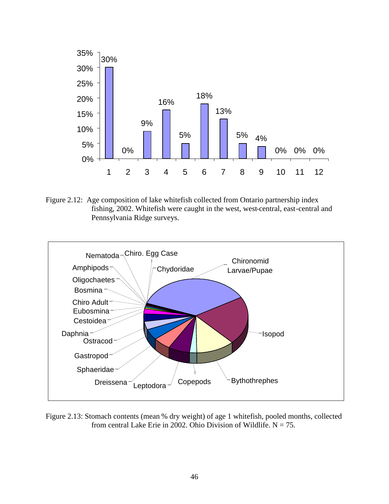

Figure 2.12: Age composition of lake whitefish collected from Ontario partnership index fishing, 2002. Whitefish were caught in the west, west-central, east-central and Pennsylvania Ridge surveys.



Figure 2.13: Stomach contents (mean % dry weight) of age 1 whitefish, pooled months, collected from central Lake Erie in 2002. Ohio Division of Wildlife.  $N = 75$ .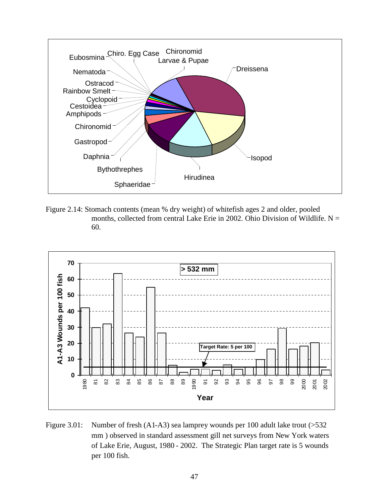

Figure 2.14: Stomach contents (mean % dry weight) of whitefish ages 2 and older, pooled months, collected from central Lake Erie in 2002. Ohio Division of Wildlife.  $N =$ 60.



Figure 3.01: Number of fresh (A1-A3) sea lamprey wounds per 100 adult lake trout (>532 mm ) observed in standard assessment gill net surveys from New York waters of Lake Erie, August, 1980 - 2002. The Strategic Plan target rate is 5 wounds per 100 fish.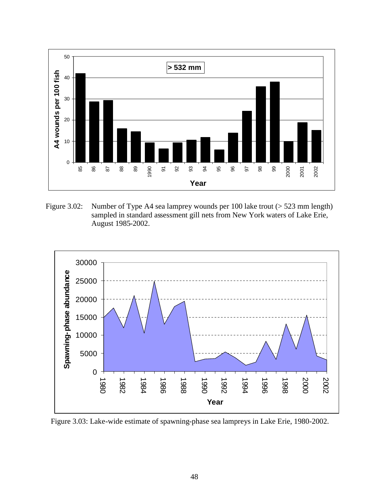

Figure 3.02: Number of Type A4 sea lamprey wounds per 100 lake trout (> 523 mm length) sampled in standard assessment gill nets from New York waters of Lake Erie, August 1985-2002.



Figure 3.03: Lake-wide estimate of spawning-phase sea lampreys in Lake Erie, 1980-2002.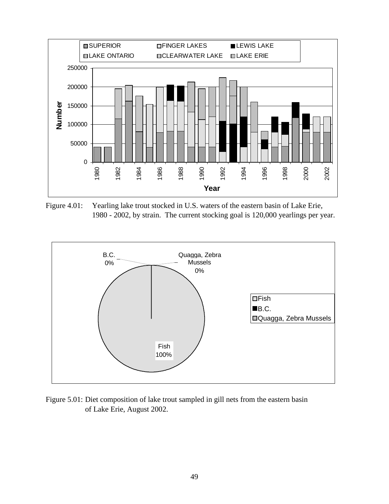

Figure 4.01: Yearling lake trout stocked in U.S. waters of the eastern basin of Lake Erie, 1980 - 2002, by strain. The current stocking goal is 120,000 yearlings per year.



Figure 5.01: Diet composition of lake trout sampled in gill nets from the eastern basin of Lake Erie, August 2002.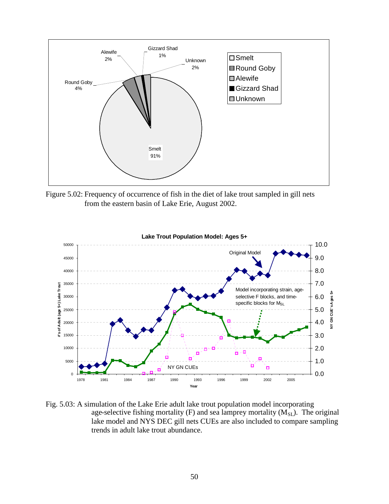

Figure 5.02: Frequency of occurrence of fish in the diet of lake trout sampled in gill nets from the eastern basin of Lake Erie, August 2002.



Fig. 5.03: A simulation of the Lake Erie adult lake trout population model incorporating age-selective fishing mortality (F) and sea lamprey mortality  $(M_{SL})$ . The original lake model and NYS DEC gill nets CUEs are also included to compare sampling trends in adult lake trout abundance.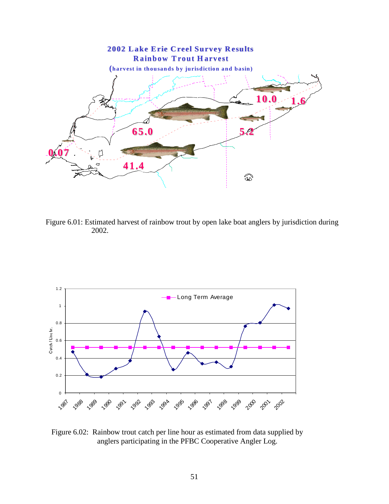

Figure 6.01: Estimated harvest of rainbow trout by open lake boat anglers by jurisdiction during 2002.



Figure 6.02: Rainbow trout catch per line hour as estimated from data supplied by anglers participating in the PFBC Cooperative Angler Log.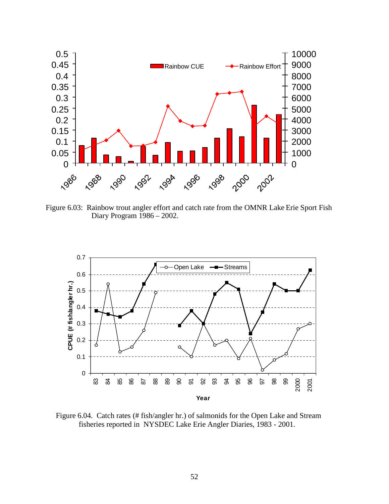

Figure 6.03: Rainbow trout angler effort and catch rate from the OMNR Lake Erie Sport Fish Diary Program 1986 – 2002.



Figure 6.04. Catch rates (# fish/angler hr.) of salmonids for the Open Lake and Stream fisheries reported in NYSDEC Lake Erie Angler Diaries, 1983 - 2001.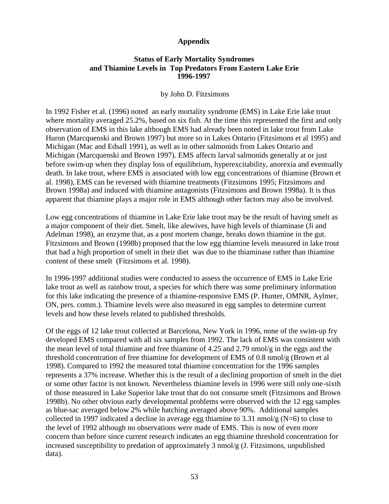#### **Appendix**

#### **Status of Early Mortality Syndromes and Thiamine Levels in Top Predators From Eastern Lake Erie 1996-1997**

#### by John D. Fitzsimons

In 1992 Fisher et al. (1996) noted an early mortality syndrome (EMS) in Lake Erie lake trout where mortality averaged 25.2%, based on six fish. At the time this represented the first and only observation of EMS in this lake although EMS had already been noted in lake trout from Lake Huron (Marcquenski and Brown 1997) but more so in Lakes Ontario (Fitzsimons et al 1995) and Michigan (Mac and Edsall 1991), as well as in other salmonids from Lakes Ontario and Michigan (Marcquenski and Brown 1997). EMS affects larval salmonids generally at or just before swim-up when they display loss of equilibrium, hyperexcitability, anorexia and eventually death. In lake trout, where EMS is associated with low egg concentrations of thiamine (Brown et al. 1998), EMS can be reversed with thiamine treatments (Fitzsimons 1995; Fitzsimons and Brown 1998a) and induced with thiamine antagonists (Fitzsimons and Brown 1998a). It is thus apparent that thiamine plays a major role in EMS although other factors may also be involved.

Low egg concentrations of thiamine in Lake Erie lake trout may be the result of having smelt as a major component of their diet. Smelt, like alewives, have high levels of thiaminase (Ji and Adelman 1998), an enzyme that, as a post mortem change, breaks down thiamine in the gut. Fitzsimons and Brown (1998b) proposed that the low egg thiamine levels measured in lake trout that had a high proportion of smelt in their diet was due to the thiaminase rather than thiamine content of these smelt (Fitzsimons et al. 1998).

In 1996-1997 additional studies were conducted to assess the occurrence of EMS in Lake Erie lake trout as well as rainbow trout, a species for which there was some preliminary information for this lake indicating the presence of a thiamine-responsive EMS (P. Hunter, OMNR, Aylmer, ON, pers. comm.). Thiamine levels were also measured in egg samples to determine current levels and how these levels related to published thresholds.

Of the eggs of 12 lake trout collected at Barcelona, New York in 1996, none of the swim-up fry developed EMS compared with all six samples from 1992. The lack of EMS was consistent with the mean level of total thiamine and free thiamine of 4.25 and 2.79 nmol/g in the eggs and the threshold concentration of free thiamine for development of EMS of 0.8 nmol/g (Brown et al 1998). Compared to 1992 the measured total thiamine concentration for the 1996 samples represents a 37% increase. Whether this is the result of a declining proportion of smelt in the diet or some other factor is not known. Nevertheless thiamine levels in 1996 were still only one-sixth of those measured in Lake Superior lake trout that do not consume smelt (Fitzsimons and Brown 1998b). No other obvious early developmental problems were observed with the 12 egg samples as blue-sac averaged below 2% while hatching averaged above 90%. Additional samples collected in 1997 indicated a decline in average egg thiamine to 3.31 nmol/g (N=6) to close to the level of 1992 although no observations were made of EMS. This is now of even more concern than before since current research indicates an egg thiamine threshold concentration for increased susceptibility to predation of approximately 3 nmol/g (J. Fitzsimons, unpublished data).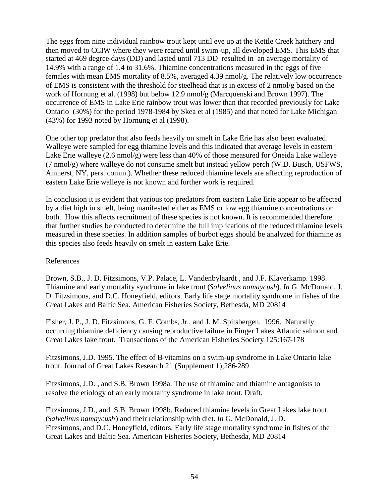The eggs from nine individual rainbow trout kept until eye up at the Kettle Creek hatchery and then moved to CCIW where they were reared until swim-up, all developed EMS. This EMS that started at 469 degree-days (DD) and lasted until 713 DD resulted in an average mortality of 14.9% with a range of 1.4 to 31.6%. Thiamine concentrations measured in the eggs of five females with mean EMS mortality of 8.5%, averaged 4.39 nmol/g. The relatively low occurrence of EMS is consistent with the threshold for steelhead that is in excess of 2 nmol/g based on the work of Hornung et al. (1998) but below 12.9 nmol/g (Marcquenski and Brown 1997). The occurrence of EMS in Lake Erie rainbow trout was lower than that recorded previously for Lake Ontario (30%) for the period 1978-1984 by Skea et al (1985) and that noted for Lake Michigan (43%) for 1993 noted by Hornung et al (1998).

One other top predator that also feeds heavily on smelt in Lake Erie has also been evaluated. Walleye were sampled for egg thiamine levels and this indicated that average levels in eastern Lake Erie walleye (2.6 nmol/g) were less than 40% of those measured for Oneida Lake walleye (7 nmol/g) where walleye do not consume smelt but instead yellow perch (W.D. Busch, USFWS, Amherst, NY, pers. comm.). Whether these reduced thiamine levels are affecting reproduction of eastern Lake Erie walleye is not known and further work is required.

In conclusion it is evident that various top predators from eastern Lake Erie appear to be affected by a diet high in smelt, being manifested either as EMS or low egg thiamine concentrations or both. How this affects recruitment of these species is not known. It is recommended therefore that further studies be conducted to determine the full implications of the reduced thiamine levels measured in these species. In addition samples of burbot eggs should be analyzed for thiamine as this species also feeds heavily on smelt in eastern Lake Erie.

#### References

Brown, S.B., J. D. Fitzsimons, V.P. Palace, L. Vandenbylaardt , and J.F. Klaverkamp. 1998. Thiamine and early mortality syndrome in lake trout (*Salvelinus namaycush*). *In* G. McDonald, J. D. Fitzsimons, and D.C. Honeyfield, editors. Early life stage mortality syndrome in fishes of the Great Lakes and Baltic Sea. American Fisheries Society, Bethesda, MD 20814

Fisher, J. P., J. D. Fitzsimons, G. F. Combs, Jr., and J. M. Spitsbergen. 1996. Naturally occurring thiamine deficiency causing reproductive failure in Finger Lakes Atlantic salmon and Great Lakes lake trout. Transactions of the American Fisheries Society 125:167-178

Fitzsimons, J.D. 1995. The effect of B-vitamins on a swim-up syndrome in Lake Ontario lake trout. Journal of Great Lakes Research 21 (Supplement 1);286-289

Fitzsimons, J.D. , and S.B. Brown 1998a. The use of thiamine and thiamine antagonists to resolve the etiology of an early mortality syndrome in lake trout. Draft.

Fitzsimons, J.D., and S.B. Brown 1998b. Reduced thiamine levels in Great Lakes lake trout (*Salvelinus namaycush*) and their relationship with diet. *In* G. McDonald, J. D. Fitzsimons, and D.C. Honeyfield, editors. Early life stage mortality syndrome in fishes of the Great Lakes and Baltic Sea. American Fisheries Society, Bethesda, MD 20814